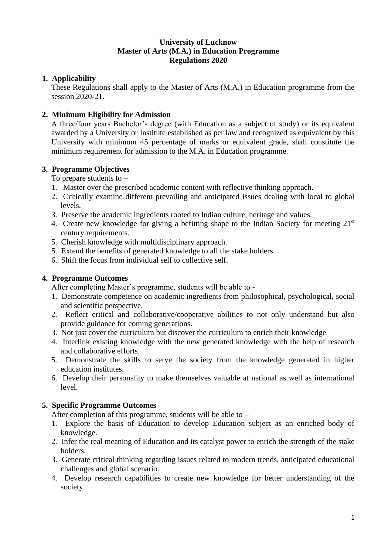## **University of Lucknow Master of Arts (M.A.) in Education Programme Regulations 2020**

## **1. Applicability**

These Regulations shall apply to the Master of Arts (M.A.) in Education programme from the session 2020-21.

# **2. Minimum Eligibility for Admission**

A three/four years Bachelor's degree (with Education as a subject of study) or its equivalent awarded by a University or Institute established as per law and recognized as equivalent by this University with minimum 45 percentage of marks or equivalent grade, shall constitute the minimum requirement for admission to the M.A. in Education programme.

# **3. Programme Objectives**

To prepare students to –

- 1. Master over the prescribed academic content with reflective thinking approach.
- 2. Critically examine different prevailing and anticipated issues dealing with local to global levels.
- 3. Preserve the academic ingredients rooted to Indian culture, heritage and values.
- 4. Create new knowledge for giving a befitting shape to the Indian Society for meeting 21<sup>st</sup> century requirements.
- 5. Cherish knowledge with multidisciplinary approach.
- 5. Extend the benefits of generated knowledge to all the stake holders.
- 6. Shift the focus from individual self to collective self.

## **4. Programme Outcomes**

After completing Master's programme, students will be able to -

- 1. Demonstrate competence on academic ingredients from philosophical, psychological, social and scientific perspective.
- 2. Reflect critical and collaborative/cooperative abilities to not only understand but also provide guidance for coming generations.
- 3. Not just cover the curriculum but discover the curriculum to enrich their knowledge.
- 4. Interlink existing knowledge with the new generated knowledge with the help of research and collaborative efforts.
- 5. Demonstrate the skills to serve the society from the knowledge generated in higher education institutes.
- 6. Develop their personality to make themselves valuable at national as well as international level.

## **5. Specific Programme Outcomes**

After completion of this programme, students will be able to  $-$ 

- 1. Explore the basis of Education to develop Education subject as an enriched body of knowledge.
- 2. Infer the real meaning of Education and its catalyst power to enrich the strength of the stake holders.
- 3. Generate critical thinking regarding issues related to modern trends, anticipated educational challenges and global scenario.
- 4. Develop research capabilities to create new knowledge for better understanding of the society.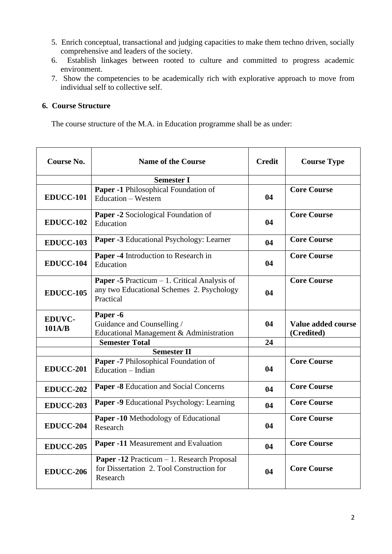- 5. Enrich conceptual, transactional and judging capacities to make them techno driven, socially comprehensive and leaders of the society.
- 6. Establish linkages between rooted to culture and committed to progress academic environment.
- 7. Show the competencies to be academically rich with explorative approach to move from individual self to collective self.

## **6. Course Structure**

The course structure of the M.A. in Education programme shall be as under:

| <b>Course No.</b>       | <b>Name of the Course</b>                                                                                       | <b>Credit</b> | <b>Course Type</b>               |
|-------------------------|-----------------------------------------------------------------------------------------------------------------|---------------|----------------------------------|
|                         | <b>Semester I</b>                                                                                               |               |                                  |
| <b>EDUCC-101</b>        | Paper -1 Philosophical Foundation of<br><b>Education – Western</b>                                              | 04            | <b>Core Course</b>               |
| <b>EDUCC-102</b>        | Paper -2 Sociological Foundation of<br>Education                                                                | 04            | <b>Core Course</b>               |
| <b>EDUCC-103</b>        | Paper -3 Educational Psychology: Learner                                                                        | 04            | <b>Core Course</b>               |
| EDUCC-104               | Paper -4 Introduction to Research in<br>Education                                                               | 04            | <b>Core Course</b>               |
| <b>EDUCC-105</b>        | <b>Paper -5</b> Practicum $-1$ . Critical Analysis of<br>any two Educational Schemes 2. Psychology<br>Practical | 04            | <b>Core Course</b>               |
| <b>EDUVC-</b><br>101A/B | Paper -6<br>Guidance and Counselling /<br>Educational Management & Administration                               | 04            | Value added course<br>(Credited) |
|                         | <b>Semester Total</b>                                                                                           | 24            |                                  |
|                         | <b>Semester II</b>                                                                                              |               |                                  |
| EDUCC-201               | Paper -7 Philosophical Foundation of<br>Education – Indian                                                      | 04            | <b>Core Course</b>               |
| <b>EDUCC-202</b>        | <b>Paper -8</b> Education and Social Concerns                                                                   | 04            | <b>Core Course</b>               |
| <b>EDUCC-203</b>        | Paper -9 Educational Psychology: Learning                                                                       | 04            | <b>Core Course</b>               |
| EDUCC-204               | <b>Paper -10</b> Methodology of Educational<br>Research                                                         | 04            | <b>Core Course</b>               |
| <b>EDUCC-205</b>        | Paper -11 Measurement and Evaluation                                                                            | 04            | <b>Core Course</b>               |
| <b>EDUCC-206</b>        | <b>Paper -12</b> Practicum $-1$ . Research Proposal<br>for Dissertation 2. Tool Construction for<br>Research    | 04            | <b>Core Course</b>               |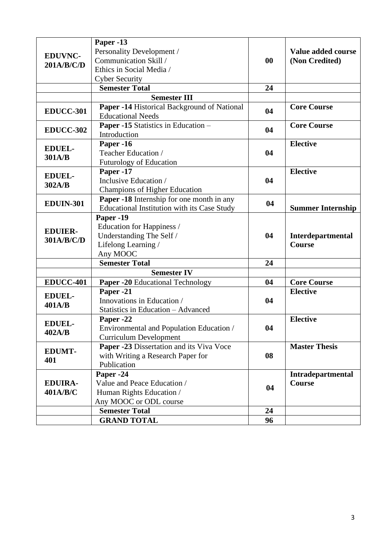|                              | Paper -13                                                               |           |                          |
|------------------------------|-------------------------------------------------------------------------|-----------|--------------------------|
| <b>EDUVNC-</b><br>201A/B/C/D | Personality Development /                                               |           | Value added course       |
|                              | Communication Skill /                                                   | $\bf{00}$ | (Non Credited)           |
|                              | Ethics in Social Media /                                                |           |                          |
|                              |                                                                         |           |                          |
|                              | <b>Cyber Security</b>                                                   |           |                          |
|                              | <b>Semester Total</b>                                                   | 24        |                          |
|                              | <b>Semester III</b>                                                     |           |                          |
| <b>EDUCC-301</b>             | Paper -14 Historical Background of National<br><b>Educational Needs</b> | 04        | <b>Core Course</b>       |
| EDUCC-302                    | Paper -15 Statistics in Education -                                     | 04        | <b>Core Course</b>       |
|                              | Introduction                                                            |           |                          |
| <b>EDUEL-</b><br>301A/B      | Paper -16                                                               |           | <b>Elective</b>          |
|                              | Teacher Education /                                                     | 04        |                          |
|                              | <b>Futurology of Education</b>                                          |           |                          |
| <b>EDUEL-</b><br>302A/B      | Paper -17                                                               | 04        | <b>Elective</b>          |
|                              | Inclusive Education /                                                   |           |                          |
|                              | <b>Champions of Higher Education</b>                                    |           |                          |
| <b>EDUIN-301</b>             | Paper -18 Internship for one month in any                               | 04        |                          |
|                              | <b>Educational Institution with its Case Study</b>                      |           | <b>Summer Internship</b> |
| <b>EDUIER-</b><br>301A/B/C/D | Paper -19                                                               |           |                          |
|                              | Education for Happiness /                                               |           |                          |
|                              | Understanding The Self /                                                | 04        | Interdepartmental        |
|                              | Lifelong Learning /                                                     |           | <b>Course</b>            |
|                              | Any MOOC                                                                |           |                          |
|                              | <b>Semester Total</b>                                                   | 24        |                          |
|                              | <b>Semester IV</b>                                                      |           |                          |
| <b>EDUCC-401</b>             | Paper -20 Educational Technology                                        | 04        | <b>Core Course</b>       |
|                              | Paper -21                                                               |           | <b>Elective</b>          |
| <b>EDUEL-</b><br>401A/B      | Innovations in Education /                                              | 04        |                          |
|                              | Statistics in Education - Advanced                                      |           |                          |
| <b>EDUEL-</b><br>402A/B      | Paper -22                                                               |           | <b>Elective</b>          |
|                              | Environmental and Population Education /                                | 04        |                          |
|                              | <b>Curriculum Development</b>                                           |           |                          |
|                              | Paper -23 Dissertation and its Viva Voce                                |           | <b>Master Thesis</b>     |
| <b>EDUMT-</b>                | with Writing a Research Paper for                                       |           |                          |
| 401                          | Publication                                                             | 08        |                          |
|                              |                                                                         |           |                          |
| <b>EDUIRA-</b><br>401A/B/C   | Paper -24                                                               | 04        | Intradepartmental        |
|                              | Value and Peace Education /                                             |           | <b>Course</b>            |
|                              | Human Rights Education /                                                |           |                          |
|                              | Any MOOC or ODL course                                                  |           |                          |
|                              | <b>Semester Total</b>                                                   | 24        |                          |
|                              | <b>GRAND TOTAL</b>                                                      | 96        |                          |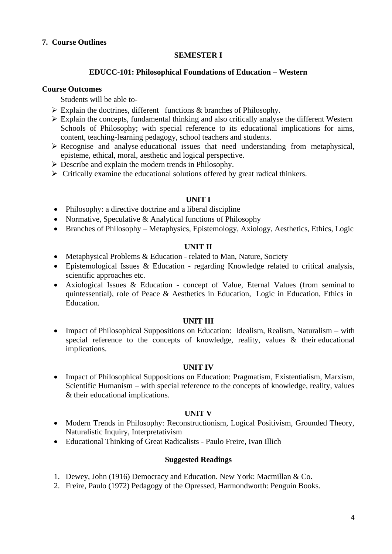## **7. Course Outlines**

### **SEMESTER I**

#### **EDUCC-101: Philosophical Foundations of Education – Western**

#### **Course Outcomes**

Students will be able to-

- ➢ Explain the doctrines, different functions & branches of Philosophy.
- ➢ Explain the concepts, fundamental thinking and also critically analyse the different Western Schools of Philosophy; with special reference to its educational implications for aims, content, teaching-learning pedagogy, school teachers and students.
- ➢ Recognise and analyse educational issues that need understanding from metaphysical, episteme, ethical, moral, aesthetic and logical perspective.
- $\triangleright$  Describe and explain the modern trends in Philosophy.
- $\triangleright$  Critically examine the educational solutions offered by great radical thinkers.

#### **UNIT I**

- Philosophy: a directive doctrine and a liberal discipline
- Normative, Speculative & Analytical functions of Philosophy
- Branches of Philosophy Metaphysics, Epistemology, Axiology, Aesthetics, Ethics, Logic

#### **UNIT II**

- Metaphysical Problems & Education related to Man, Nature, Society
- Epistemological Issues & Education regarding Knowledge related to critical analysis, scientific approaches etc.
- Axiological Issues & Education concept of Value, Eternal Values (from seminal to quintessential), role of Peace & Aesthetics in Education, Logic in Education, Ethics in Education.

#### **UNIT III**

• Impact of Philosophical Suppositions on Education: Idealism, Realism, Naturalism – with special reference to the concepts of knowledge, reality, values & their educational implications.

#### **UNIT IV**

• Impact of Philosophical Suppositions on Education: Pragmatism, Existentialism, Marxism, Scientific Humanism – with special reference to the concepts of knowledge, reality, values & their educational implications.

#### **UNIT V**

- Modern Trends in Philosophy: Reconstructionism, Logical Positivism, Grounded Theory, Naturalistic Inquiry, Interpretativism
- Educational Thinking of Great Radicalists Paulo Freire, Ivan Illich

- 1. Dewey, John (1916) Democracy and Education. New York: Macmillan & Co.
- 2. Freire, Paulo (1972) Pedagogy of the Opressed, Harmondworth: Penguin Books.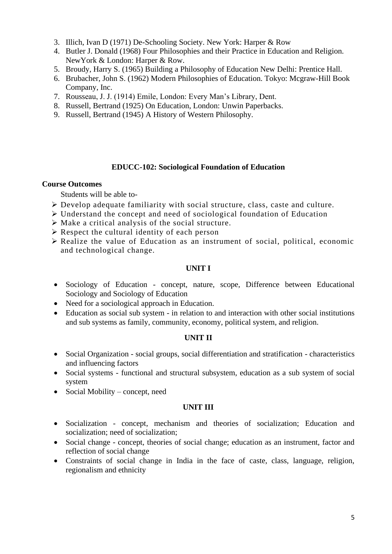- 3. Illich, Ivan D (1971) De-Schooling Society. New York: Harper & Row
- 4. Butler J. Donald (1968) Four Philosophies and their Practice in Education and Religion. NewYork & London: Harper & Row.
- 5. Broudy, Harry S. (1965) Building a Philosophy of Education New Delhi: Prentice Hall.
- 6. Brubacher, John S. (1962) Modern Philosophies of Education. Tokyo: Mcgraw-Hill Book Company, Inc.
- 7. Rousseau, J. J. (1914) Emile, London: Every Man's Library, Dent.
- 8. Russell, Bertrand (1925) On Education, London: Unwin Paperbacks.
- 9. Russell, Bertrand (1945) A History of Western Philosophy.

#### **EDUCC-102: Sociological Foundation of Education**

#### **Course Outcomes**

Students will be able to-

- ➢ Develop adequate familiarity with social structure, class, caste and culture.
- ➢ Understand the concept and need of sociological foundation of Education
- $\triangleright$  Make a critical analysis of the social structure.
- $\triangleright$  Respect the cultural identity of each person
- ➢ Realize the value of Education as an instrument of social, political, economic and technological change.

#### **UNIT I**

- Sociology of Education concept, nature, scope, Difference between Educational Sociology and Sociology of Education
- Need for a sociological approach in Education.
- Education as social sub system in relation to and interaction with other social institutions and sub systems as family, community, economy, political system, and religion.

### **UNIT II**

- Social Organization social groups, social differentiation and stratification characteristics and influencing factors
- Social systems functional and structural subsystem, education as a sub system of social system
- Social Mobility concept, need

### **UNIT III**

- Socialization concept, mechanism and theories of socialization; Education and socialization; need of socialization;
- Social change concept, theories of social change; education as an instrument, factor and reflection of social change
- Constraints of social change in India in the face of caste, class, language, religion, regionalism and ethnicity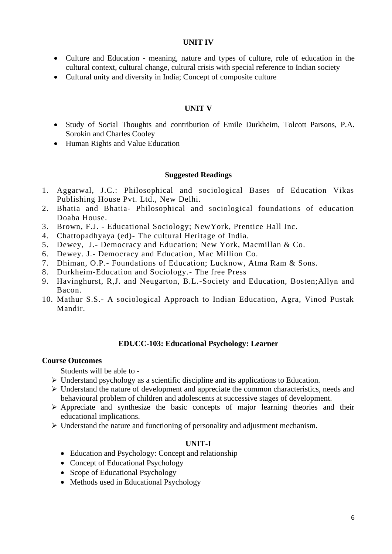#### **UNIT IV**

- Culture and Education **-** meaning, nature and types of culture, role of education in the cultural context, cultural change, cultural crisis with special reference to Indian society
- Cultural unity and diversity in India; Concept of composite culture

### **UNIT V**

- Study of Social Thoughts and contribution of Emile Durkheim, Tolcott Parsons, P.A. Sorokin and Charles Cooley
- Human Rights and Value Education

#### **Suggested Readings**

- 1. Aggarwal, J.C.: Philosophical and sociological Bases of Education Vikas Publishing House Pvt. Ltd., New Delhi.
- 2. Bhatia and Bhatia- Philosophical and sociological foundations of education Doaba House.
- 3. Brown, F.J. Educational Sociology; NewYork, Prentice Hall Inc.
- 4. Chattopadhyaya (ed)- The cultural Heritage of India.
- 5. Dewey, J.- Democracy and Education; New York, Macmillan & Co.
- 6. Dewey. J.- Democracy and Education, Mac Million Co.
- 7. Dhiman, O.P.- Foundations of Education; Lucknow, Atma Ram & Sons.
- 8. Durkheim-Education and Sociology.- The free Press
- 9. Havinghurst, R,J. and Neugarton, B.L.-Society and Education, Bosten;Allyn and Bacon.
- 10. Mathur S.S.- A sociological Approach to Indian Education, Agra, Vinod Pustak Mandir.

#### **EDUCC-103: Educational Psychology: Learner**

#### **Course Outcomes**

Students will be able to -

- $\triangleright$  Understand psychology as a scientific discipline and its applications to Education.
- ➢ Understand the nature of development and appreciate the common characteristics, needs and behavioural problem of children and adolescents at successive stages of development.
- ➢ Appreciate and synthesize the basic concepts of major learning theories and their educational implications.
- ➢ Understand the nature and functioning of personality and adjustment mechanism.

#### **UNIT-I**

- Education and Psychology: Concept and relationship
- Concept of Educational Psychology
- Scope of Educational Psychology
- Methods used in Educational Psychology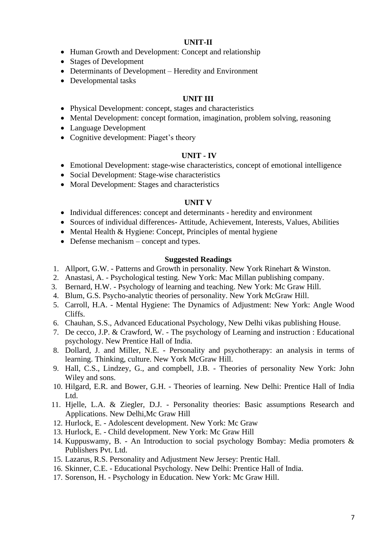#### **UNIT-II**

- Human Growth and Development: Concept and relationship
- Stages of Development
- Determinants of Development Heredity and Environment
- Developmental tasks

### **UNIT III**

- Physical Development: concept, stages and characteristics
- Mental Development: concept formation, imagination, problem solving, reasoning
- Language Development
- Cognitive development: Piaget's theory

### **UNIT - IV**

- Emotional Development: stage-wise characteristics, concept of emotional intelligence
- Social Development: Stage-wise characteristics
- Moral Development: Stages and characteristics

#### **UNIT V**

- Individual differences: concept and determinants heredity and environment
- Sources of individual differences- Attitude, Achievement, Interests, Values, Abilities
- Mental Health & Hygiene: Concept, Principles of mental hygiene
- Defense mechanism concept and types.

- 1. Allport, G.W. Patterns and Growth in personality. New York Rinehart & Winston.
- 2. Anastasi, A. Psychological testing. New York: Mac Millan publishing company.
- 3. Bernard, H.W. Psychology of learning and teaching. New York: Mc Graw Hill.
- 4. Blum, G.S. Psycho-analytic theories of personality. New York McGraw Hill.
- 5. Carroll, H.A. Mental Hygiene: The Dynamics of Adjustment: New York: Angle Wood Cliffs.
- 6. Chauhan, S.S., Advanced Educational Psychology, New Delhi vikas publishing House.
- 7. De cecco, J.P. & Crawford, W. The psychology of Learning and instruction : Educational psychology. New Prentice Hall of India.
- 8. Dollard, J. and Miller, N.E. Personality and psychotherapy: an analysis in terms of learning. Thinking, culture. New York McGraw Hill.
- 9. Hall, C.S., Lindzey, G., and compbell, J.B. Theories of personality New York: John Wiley and sons.
- 10. Hilgard, E.R. and Bower, G.H. Theories of learning. New Delhi: Prentice Hall of India Ltd.
- 11. Hjelle, L.A. & Ziegler, D.J. Personality theories: Basic assumptions Research and Applications. New Delhi,Mc Graw Hill
- 12. Hurlock, E. Adolescent development. New York: Mc Graw
- 13. Hurlock, E. Child development. New York: Mc Graw Hill
- 14. Kuppuswamy, B. An Introduction to social psychology Bombay: Media promoters & Publishers Pvt. Ltd.
- 15. Lazarus, R.S. Personality and Adjustment New Jersey: Prentic Hall.
- 16. Skinner, C.E. Educational Psychology. New Delhi: Prentice Hall of India.
- 17. Sorenson, H. Psychology in Education. New York: Mc Graw Hill.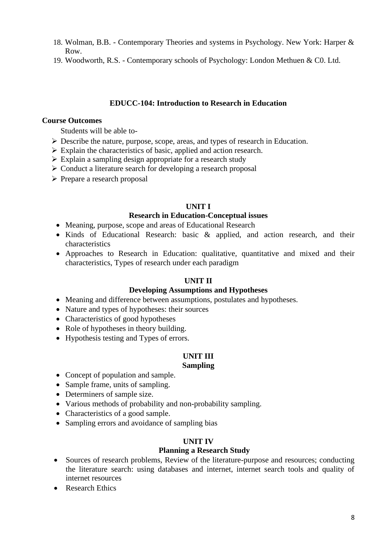- 18. Wolman, B.B. Contemporary Theories and systems in Psychology. New York: Harper & Row.
- 19. Woodworth, R.S. Contemporary schools of Psychology: London Methuen & C0. Ltd.

### **EDUCC-104: Introduction to Research in Education**

#### **Course Outcomes**

Students will be able to-

- ➢ Describe the nature, purpose, scope, areas, and types of research in Education.
- ➢ Explain the characteristics of basic, applied and action research.
- ➢ Explain a sampling design appropriate for a research study
- ➢ Conduct a literature search for developing a research proposal
- ➢ Prepare a research proposal

### **UNIT I**

### **Research in Education-Conceptual issues**

- Meaning, purpose, scope and areas of Educational Research
- Kinds of Educational Research: basic & applied, and action research, and their characteristics
- Approaches to Research in Education: qualitative, quantitative and mixed and their characteristics, Types of research under each paradigm

## **UNIT II**

#### **Developing Assumptions and Hypotheses**

- Meaning and difference between assumptions, postulates and hypotheses.
- Nature and types of hypotheses: their sources
- Characteristics of good hypotheses
- Role of hypotheses in theory building.
- Hypothesis testing and Types of errors.

# **UNIT III**

## **Sampling**

- Concept of population and sample.
- Sample frame, units of sampling.
- Determiners of sample size.
- Various methods of probability and non-probability sampling.
- Characteristics of a good sample.
- Sampling errors and avoidance of sampling bias

## **UNIT IV**

## **Planning a Research Study**

- Sources of research problems, Review of the literature-purpose and resources; conducting the literature search: using databases and internet, internet search tools and quality of internet resources
- Research Ethics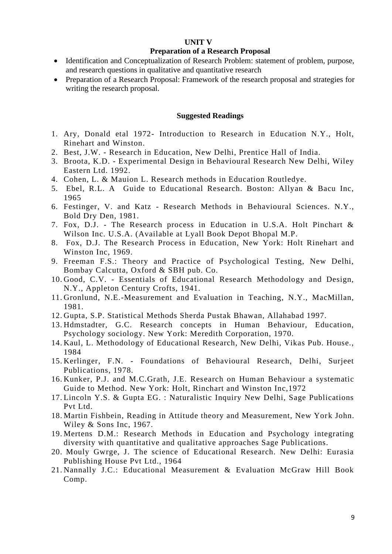#### **UNIT V**

#### **Preparation of a Research Proposal**

- Identification and Conceptualization of Research Problem: statement of problem, purpose, and research questions in qualitative and quantitative research
- Preparation of a Research Proposal: Framework of the research proposal and strategies for writing the research proposal.

- 1. Ary, Donald etal 1972- Introduction to Research in Education N.Y., Holt, Rinehart and Winston.
- 2. Best, J.W. Research in Education, New Delhi, Prentice Hall of India.
- 3. Broota, K.D. Experimental Design in Behavioural Research New Delhi, Wiley Eastern Ltd. 1992.
- 4. Cohen, L. & Mauion L. Research methods in Education Routledye.
- 5. Ebel, R.L. A Guide to Educational Research. Boston: Allyan & Bacu Inc, 1965
- 6. Festinger, V. and Katz Research Methods in Behavioural Sciences. N.Y., Bold Dry Den, 1981.
- 7. Fox, D.J. The Research process in Education in U.S.A. Holt Pinchart & Wilson Inc. U.S.A. (Available at Lyall Book Depot Bhopal M.P.
- 8. Fox, D.J. The Research Process in Education, New York: Holt Rinehart and Winston Inc, 1969.
- 9. Freeman F.S.: Theory and Practice of Psychological Testing, New Delhi, Bombay Calcutta, Oxford & SBH pub. Co.
- 10. Good, C.V. Essentials of Educational Research Methodology and Design, N.Y., Appleton Century Crofts, 1941.
- 11. Gronlund, N.E.-Measurement and Evaluation in Teaching, N.Y., MacMillan, 1981.
- 12. Gupta, S.P. Statistical Methods Sherda Pustak Bhawan, Allahabad 1997.
- 13. Hdmstadter, G.C. Research concepts in Human Behaviour, Education, Psychology sociology. New York: Meredith Corporation, 1970.
- 14. Kaul, L. Methodology of Educational Research, New Delhi, Vikas Pub. House., 1984
- 15. Kerlinger, F.N. Foundations of Behavioural Research, Delhi, Surjeet Publications, 1978.
- 16. Kunker, P.J. and M.C.Grath, J.E. Research on Human Behaviour a systematic Guide to Method. New York: Holt, Rinchart and Winston Inc,1972
- 17. Lincoln Y.S. & Gupta EG. : Naturalistic Inquiry New Delhi, Sage Publications Pvt Ltd.
- 18. Martin Fishbein, Reading in Attitude theory and Measurement, New York John. Wiley & Sons Inc, 1967.
- 19. Mertens D.M.: Research Methods in Education and Psychology integrating diversity with quantitative and qualitative approaches Sage Publications.
- 20. Mouly Gwrge, J. The science of Educational Research. New Delhi: Eurasia Publishing House Pvt Ltd., 1964
- 21. Nannally J.C.: Educational Measurement & Evaluation McGraw Hill Book Comp.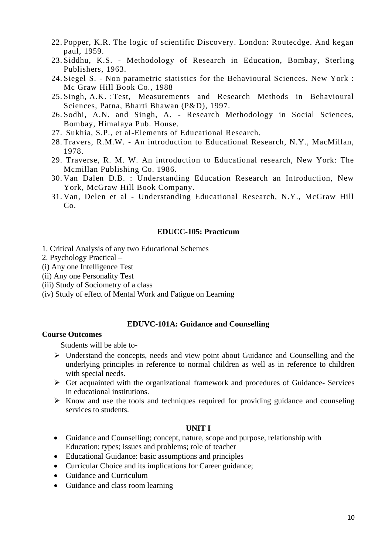- 22. Popper, K.R. The logic of scientific Discovery. London: Routecdge. And kegan paul, 1959.
- 23. Siddhu, K.S. Methodology of Research in Education, Bombay, Sterling Publishers, 1963.
- 24. Siegel S. Non parametric statistics for the Behavioural Sciences. New York : Mc Graw Hill Book Co., 1988
- 25. Singh, A.K. : Test, Measurements and Research Methods in Behavioural Sciences, Patna, Bharti Bhawan (P&D), 1997.
- 26. Sodhi, A.N. and Singh, A. Research Methodology in Social Sciences, Bombay, Himalaya Pub. House.
- 27. Sukhia, S.P., et al-Elements of Educational Research.
- 28. Travers, R.M.W. An introduction to Educational Research, N.Y., MacMillan, 1978.
- 29. Traverse, R. M. W. An introduction to Educational research, New York: The Mcmillan Publishing Co. 1986.
- 30. Van Dalen D.B. : Understanding Education Research an Introduction, New York, McGraw Hill Book Company.
- 31. Van, Delen et al Understanding Educational Research, N.Y., McGraw Hill Co.

# **EDUCC-105: Practicum**

- 1. Critical Analysis of any two Educational Schemes
- 2. Psychology Practical –
- (i) Any one Intelligence Test
- (ii) Any one Personality Test
- (iii) Study of Sociometry of a class
- (iv) Study of effect of Mental Work and Fatigue on Learning

#### **EDUVC-101A: Guidance and Counselling**

### **Course Outcomes**

Students will be able to-

- ➢ Understand the concepts, needs and view point about Guidance and Counselling and the underlying principles in reference to normal children as well as in reference to children with special needs.
- $\triangleright$  Get acquainted with the organizational framework and procedures of Guidance- Services in educational institutions.
- $\triangleright$  Know and use the tools and techniques required for providing guidance and counseling services to students.

### **UNIT I**

- Guidance and Counselling; concept, nature, scope and purpose, relationship with Education; types; issues and problems; role of teacher
- Educational Guidance: basic assumptions and principles
- Curricular Choice and its implications for Career guidance;
- Guidance and Curriculum
- Guidance and class room learning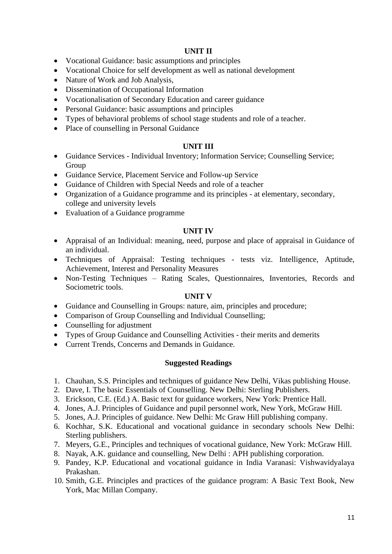# **UNIT II**

- Vocational Guidance: basic assumptions and principles
- Vocational Choice for self development as well as national development
- Nature of Work and Job Analysis,
- Dissemination of Occupational Information
- Vocationalisation of Secondary Education and career guidance
- Personal Guidance: basic assumptions and principles
- Types of behavioral problems of school stage students and role of a teacher.
- Place of counselling in Personal Guidance

## **UNIT III**

- Guidance Services Individual Inventory; Information Service; Counselling Service; Group
- Guidance Service, Placement Service and Follow-up Service
- Guidance of Children with Special Needs and role of a teacher
- Organization of a Guidance programme and its principles at elementary, secondary, college and university levels
- Evaluation of a Guidance programme

#### **UNIT IV**

- Appraisal of an Individual: meaning, need, purpose and place of appraisal in Guidance of an individual.
- Techniques of Appraisal: Testing techniques tests viz. Intelligence, Aptitude, Achievement, Interest and Personality Measures
- Non-Testing Techniques Rating Scales, Questionnaires, Inventories, Records and Sociometric tools.

### **UNIT V**

- Guidance and Counselling in Groups: nature, aim, principles and procedure;
- Comparison of Group Counselling and Individual Counselling:
- Counselling for adjustment
- Types of Group Guidance and Counselling Activities their merits and demerits
- Current Trends, Concerns and Demands in Guidance.

- 1. Chauhan, S.S. Principles and techniques of guidance New Delhi, Vikas publishing House.
- 2. Dave, I. The basic Essentials of Counselling. New Delhi: Sterling Publishers.
- 3. Erickson, C.E. (Ed.) A. Basic text for guidance workers, New York: Prentice Hall.
- 4. Jones, A.J. Principles of Guidance and pupil personnel work, New York, McGraw Hill.
- 5. Jones, A.J. Principles of guidance. New Delhi: Mc Graw Hill publishing company.
- 6. Kochhar, S.K. Educational and vocational guidance in secondary schools New Delhi: Sterling publishers.
- 7. Meyers, G.E., Principles and techniques of vocational guidance, New York: McGraw Hill.
- 8. Nayak, A.K. guidance and counselling, New Delhi : APH publishing corporation.
- 9. Pandey, K.P. Educational and vocational guidance in India Varanasi: Vishwavidyalaya Prakashan.
- 10. Smith, G.E. Principles and practices of the guidance program: A Basic Text Book, New York, Mac Millan Company.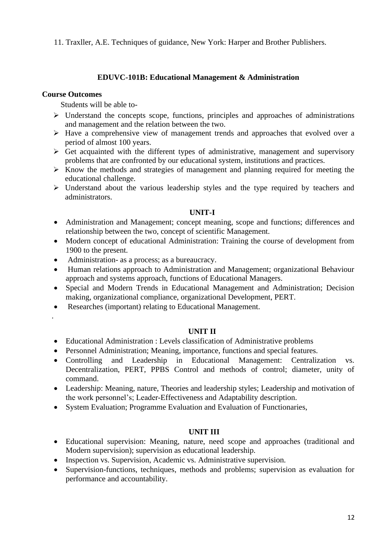11. Traxller, A.E. Techniques of guidance, New York: Harper and Brother Publishers.

# **EDUVC-101B: Educational Management & Administration**

### **Course Outcomes**

.

Students will be able to-

- ➢ Understand the concepts scope, functions, principles and approaches of administrations and management and the relation between the two.
- ➢ Have a comprehensive view of management trends and approaches that evolved over a period of almost 100 years.
- $\triangleright$  Get acquainted with the different types of administrative, management and supervisory problems that are confronted by our educational system, institutions and practices.
- ➢ Know the methods and strategies of management and planning required for meeting the educational challenge.
- ➢ Understand about the various leadership styles and the type required by teachers and administrators.

## **UNIT-I**

- Administration and Management; concept meaning, scope and functions; differences and relationship between the two, concept of scientific Management.
- Modern concept of educational Administration: Training the course of development from 1900 to the present.
- Administration- as a process; as a bureaucracy.
- Human relations approach to Administration and Management; organizational Behaviour approach and systems approach, functions of Educational Managers.
- Special and Modern Trends in Educational Management and Administration; Decision making, organizational compliance, organizational Development, PERT.
- Researches (important) relating to Educational Management.
	- **UNIT II**
- Educational Administration : Levels classification of Administrative problems
- Personnel Administration; Meaning, importance, functions and special features.
- Controlling and Leadership in Educational Management: Centralization vs. Decentralization, PERT, PPBS Control and methods of control; diameter, unity of command.
- Leadership: Meaning, nature, Theories and leadership styles; Leadership and motivation of the work personnel's; Leader-Effectiveness and Adaptability description.
- System Evaluation: Programme Evaluation and Evaluation of Functionaries,

## **UNIT III**

- Educational supervision: Meaning, nature, need scope and approaches (traditional and Modern supervision); supervision as educational leadership.
- Inspection vs. Supervision, Academic vs. Administrative supervision.
- Supervision-functions, techniques, methods and problems; supervision as evaluation for performance and accountability.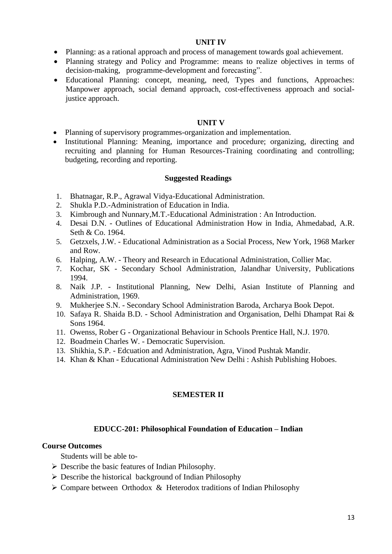#### **UNIT IV**

- Planning: as a rational approach and process of management towards goal achievement.
- Planning strategy and Policy and Programme: means to realize objectives in terms of decision-making, programme-development and forecasting".
- Educational Planning: concept, meaning, need, Types and functions, Approaches: Manpower approach, social demand approach, cost-effectiveness approach and socialjustice approach.

#### **UNIT V**

- Planning of supervisory programmes-organization and implementation.
- Institutional Planning: Meaning, importance and procedure; organizing, directing and recruiting and planning for Human Resources-Training coordinating and controlling; budgeting, recording and reporting.

### **Suggested Readings**

- 1. Bhatnagar, R.P., Agrawal Vidya-Educational Administration.
- 2. Shukla P.D.-Administration of Education in India.
- 3. Kimbrough and Nunnary,M.T.-Educational Administration : An Introduction.
- 4. Desai D.N. Outlines of Educational Administration How in India, Ahmedabad, A.R. Seth & Co. 1964.
- 5. Getzxels, J.W. Educational Administration as a Social Process, New York, 1968 Marker and Row.
- 6. Halping, A.W. Theory and Research in Educational Administration, Collier Mac.
- 7. Kochar, SK Secondary School Administration, Jalandhar University, Publications 1994.
- 8. Naik J.P. Institutional Planning, New Delhi, Asian Institute of Planning and Administration, 1969.
- 9. Mukherjee S.N. Secondary School Administration Baroda, Archarya Book Depot.
- 10. Safaya R. Shaida B.D. School Administration and Organisation, Delhi Dhampat Rai & Sons 1964.
- 11. Owenss, Rober G Organizational Behaviour in Schools Prentice Hall, N.J. 1970.
- 12. Boadmein Charles W. Democratic Supervision.
- 13. Shikhia, S.P. Edcuation and Administration, Agra, Vinod Pushtak Mandir.
- 14. Khan & Khan Educational Administration New Delhi : Ashish Publishing Hoboes.

## **SEMESTER II**

## **EDUCC-201: Philosophical Foundation of Education – Indian**

### **Course Outcomes**

Students will be able to-

- ➢ Describe the basic features of Indian Philosophy.
- ➢ Describe the historical background of Indian Philosophy
- ➢ Compare between Orthodox & Heterodox traditions of Indian Philosophy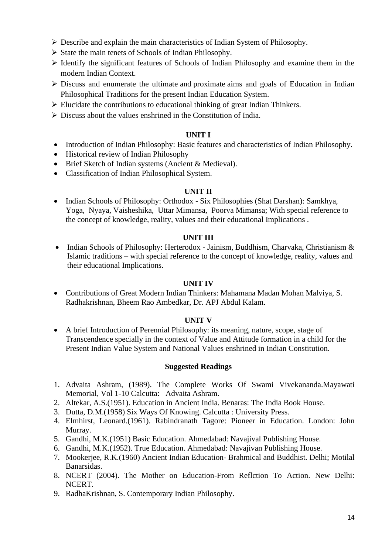- $\triangleright$  Describe and explain the main characteristics of Indian System of Philosophy.
- ➢ State the main tenets of Schools of Indian Philosophy.
- ➢ Identify the significant features of Schools of Indian Philosophy and examine them in the modern Indian Context.
- $\triangleright$  Discuss and enumerate the ultimate and proximate aims and goals of Education in Indian Philosophical Traditions for the present Indian Education System.
- ➢ Elucidate the contributions to educational thinking of great Indian Thinkers.
- $\triangleright$  Discuss about the values enshrined in the Constitution of India.

#### **UNIT I**

- Introduction of Indian Philosophy: Basic features and characteristics of Indian Philosophy.
- Historical review of Indian Philosophy
- Brief Sketch of Indian systems (Ancient & Medieval).
- Classification of Indian Philosophical System.

### **UNIT II**

• Indian Schools of Philosophy: Orthodox - Six Philosophies (Shat Darshan): Samkhya, Yoga, Nyaya, Vaisheshika, Uttar Mimansa, Poorva Mimansa; With special reference to the concept of knowledge, reality, values and their educational Implications .

### **UNIT III**

• Indian Schools of Philosophy: Herterodox - Jainism, Buddhism, Charvaka, Christianism & Islamic traditions – with special reference to the concept of knowledge, reality, values and their educational Implications.

#### **UNIT IV**

• Contributions of Great Modern Indian Thinkers: Mahamana Madan Mohan Malviya, S. Radhakrishnan, Bheem Rao Ambedkar, Dr. APJ Abdul Kalam.

#### **UNIT V**

• A brief Introduction of Perennial Philosophy: its meaning, nature, scope, stage of Transcendence specially in the context of Value and Attitude formation in a child for the Present Indian Value System and National Values enshrined in Indian Constitution.

- 1. Advaita Ashram, (1989). The Complete Works Of Swami Vivekananda.Mayawati Memorial, Vol 1-10 Calcutta: Advaita Ashram.
- 2. Altekar, A.S.(1951). Education in Ancient India. Benaras: The India Book House.
- 3. Dutta, D.M.(1958) Six Ways Of Knowing. Calcutta : University Press.
- 4. Elmhirst, Leonard.(1961). Rabindranath Tagore: Pioneer in Education. London: John Murray.
- 5. Gandhi, M.K.(1951) Basic Education. Ahmedabad: Navajival Publishing House.
- 6. Gandhi, M.K.(1952). True Education. Ahmedabad: Navajivan Publishing House.
- 7. Mookerjee, R.K.(1960) Ancient Indian Education- Brahmical and Buddhist. Delhi; Motilal Banarsidas.
- 8. NCERT (2004). The Mother on Education-From Reflction To Action. New Delhi: NCERT.
- 9. RadhaKrishnan, S. Contemporary Indian Philosophy.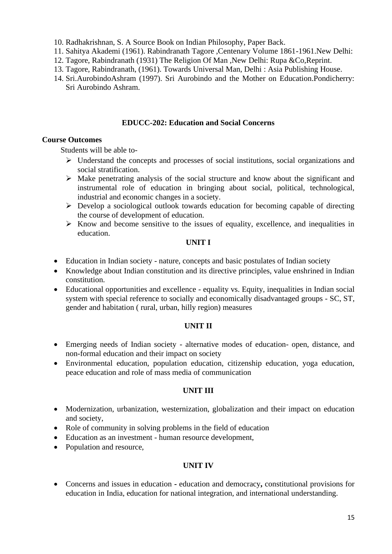- 10. Radhakrishnan, S. A Source Book on Indian Philosophy, Paper Back.
- 11. Sahitya Akademi (1961). Rabindranath Tagore ,Centenary Volume 1861-1961.New Delhi:
- 12. Tagore, Rabindranath (1931) The Religion Of Man ,New Delhi: Rupa &Co,Reprint.
- 13. Tagore, Rabindranath, (1961). Towards Universal Man, Delhi : Asia Publishing House.
- 14. Sri.AurobindoAshram (1997). Sri Aurobindo and the Mother on Education.Pondicherry: Sri Aurobindo Ashram.

# **EDUCC-202: Education and Social Concerns**

#### **Course Outcomes**

Students will be able to-

- ➢ Understand the concepts and processes of social institutions, social organizations and social stratification.
- ➢ Make penetrating analysis of the social structure and know about the significant and instrumental role of education in bringing about social, political, technological, industrial and economic changes in a society.
- $\triangleright$  Develop a sociological outlook towards education for becoming capable of directing the course of development of education.
- $\triangleright$  Know and become sensitive to the issues of equality, excellence, and inequalities in education.

#### **UNIT I**

- Education in Indian society nature, concepts and basic postulates of Indian society
- Knowledge about Indian constitution and its directive principles, value enshrined in Indian constitution.
- Educational opportunities and excellence equality vs. Equity, inequalities in Indian social system with special reference to socially and economically disadvantaged groups - SC, ST, gender and habitation ( rural, urban, hilly region) measures

#### **UNIT II**

- Emerging needs of Indian society alternative modes of education- open, distance, and non-formal education and their impact on society
- Environmental education, population education, citizenship education, yoga education, peace education and role of mass media of communication

#### **UNIT III**

- Modernization, urbanization, westernization, globalization and their impact on education and society,
- Role of community in solving problems in the field of education
- Education as an investment human resource development,
- Population and resource,

## **UNIT IV**

• Concerns and issues in education **-** education and democracy**,** constitutional provisions for education in India, education for national integration, and international understanding.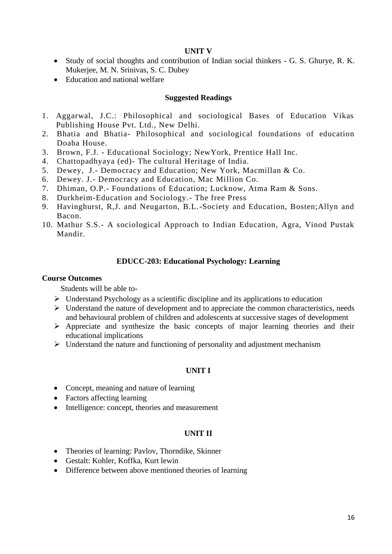#### **UNIT V**

- Study of social thoughts and contribution of Indian social thinkers G. S. Ghurye, R. K. Mukerjee, M. N. Srinivas, S. C. Dubey
- Education and national welfare

#### **Suggested Readings**

- 1. Aggarwal, J.C.: Philosophical and sociological Bases of Education Vikas Publishing House Pvt. Ltd., New Delhi.
- 2. Bhatia and Bhatia- Philosophical and sociological foundations of education Doaba House.
- 3. Brown, F.J. Educational Sociology; NewYork, Prentice Hall Inc.
- 4. Chattopadhyaya (ed)- The cultural Heritage of India.
- 5. Dewey, J.- Democracy and Education; New York, Macmillan & Co.
- 6. Dewey. J.- Democracy and Education, Mac Million Co.
- 7. Dhiman, O.P.- Foundations of Education; Lucknow, Atma Ram & Sons.
- 8. Durkheim-Education and Sociology.- The free Press
- 9. Havinghurst, R,J. and Neugarton, B.L.-Society and Education, Bosten;Allyn and Bacon.
- 10. Mathur S.S.- A sociological Approach to Indian Education, Agra, Vinod Pustak Mandir.

### **EDUCC-203: Educational Psychology: Learning**

#### **Course Outcomes**

Students will be able to-

- $\triangleright$  Understand Psychology as a scientific discipline and its applications to education
- $\triangleright$  Understand the nature of development and to appreciate the common characteristics, needs and behavioural problem of children and adolescents at successive stages of development
- ➢ Appreciate and synthesize the basic concepts of major learning theories and their educational implications
- $\triangleright$  Understand the nature and functioning of personality and adjustment mechanism

# **UNIT I**

- Concept, meaning and nature of learning
- Factors affecting learning
- Intelligence: concept, theories and measurement

#### **UNIT II**

- Theories of learning: Pavlov, Thorndike, Skinner
- Gestalt: Kohler, Koffka, Kurt lewin
- Difference between above mentioned theories of learning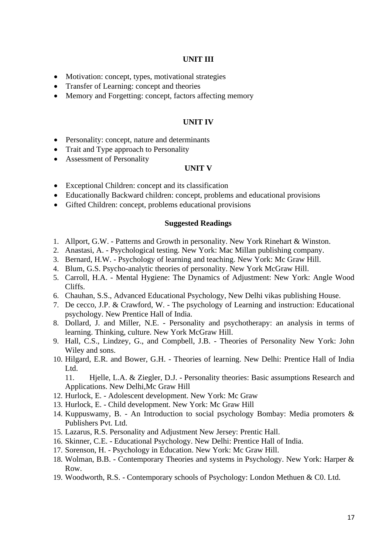### **UNIT III**

- Motivation: concept, types, motivational strategies
- Transfer of Learning: concept and theories
- Memory and Forgetting: concept, factors affecting memory

#### **UNIT IV**

- Personality: concept, nature and determinants
- Trait and Type approach to Personality
- Assessment of Personality

#### **UNIT V**

- Exceptional Children: concept and its classification
- Educationally Backward children: concept, problems and educational provisions
- Gifted Children: concept, problems educational provisions

#### **Suggested Readings**

- 1. Allport, G.W. Patterns and Growth in personality. New York Rinehart & Winston.
- 2. Anastasi, A. Psychological testing. New York: Mac Millan publishing company.
- 3. Bernard, H.W. Psychology of learning and teaching. New York: Mc Graw Hill.
- 4. Blum, G.S. Psycho-analytic theories of personality. New York McGraw Hill.
- 5. Carroll, H.A. Mental Hygiene: The Dynamics of Adjustment: New York: Angle Wood Cliffs.
- 6. Chauhan, S.S., Advanced Educational Psychology, New Delhi vikas publishing House.
- 7. De cecco, J.P. & Crawford, W. The psychology of Learning and instruction: Educational psychology. New Prentice Hall of India.
- 8. Dollard, J. and Miller, N.E. Personality and psychotherapy: an analysis in terms of learning. Thinking, culture. New York McGraw Hill.
- 9. Hall, C.S., Lindzey, G., and Compbell, J.B. Theories of Personality New York: John Wiley and sons.
- 10. Hilgard, E.R. and Bower, G.H. Theories of learning. New Delhi: Prentice Hall of India Ltd.

11. Hjelle, L.A. & Ziegler, D.J. - Personality theories: Basic assumptions Research and Applications. New Delhi,Mc Graw Hill

- 12. Hurlock, E. Adolescent development. New York: Mc Graw
- 13. Hurlock, E. Child development. New York: Mc Graw Hill
- 14. Kuppuswamy, B. An Introduction to social psychology Bombay: Media promoters & Publishers Pvt. Ltd.
- 15. Lazarus, R.S. Personality and Adjustment New Jersey: Prentic Hall.
- 16. Skinner, C.E. Educational Psychology. New Delhi: Prentice Hall of India.
- 17. Sorenson, H. Psychology in Education. New York: Mc Graw Hill.
- 18. Wolman, B.B. Contemporary Theories and systems in Psychology. New York: Harper & Row.
- 19. Woodworth, R.S. Contemporary schools of Psychology: London Methuen & C0. Ltd.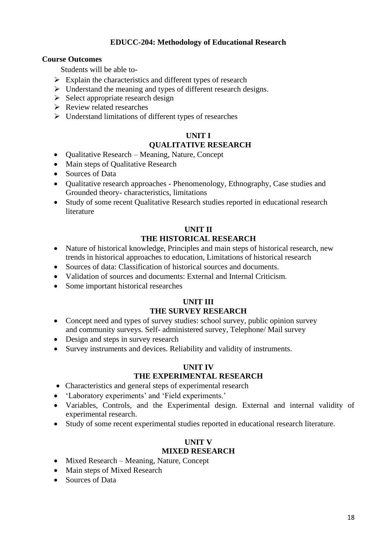### **EDUCC-204: Methodology of Educational Research**

### **Course Outcomes**

Students will be able to-

- $\triangleright$  Explain the characteristics and different types of research
- ➢ Understand the meaning and types of different research designs.
- $\triangleright$  Select appropriate research design
- ➢ Review related researches
- ➢ Understand limitations of different types of researches

# **UNIT I**

# **QUALITATIVE RESEARCH**

- Qualitative Research Meaning, Nature, Concept
- Main steps of Qualitative Research
- Sources of Data
- Qualitative research approaches Phenomenology, Ethnography, Case studies and Grounded theory- characteristics, limitations
- Study of some recent Qualitative Research studies reported in educational research literature

#### **UNIT II THE HISTORICAL RESEARCH**

- Nature of historical knowledge, Principles and main steps of historical research, new trends in historical approaches to education, Limitations of historical research
- Sources of data: Classification of historical sources and documents.
- Validation of sources and documents: External and Internal Criticism.
- Some important historical researches

# **UNIT III THE SURVEY RESEARCH**

- Concept need and types of survey studies: school survey, public opinion survey and community surveys. Self- administered survey, Telephone/ Mail survey
- Design and steps in survey research
- Survey instruments and devices. Reliability and validity of instruments.

#### **UNIT IV THE EXPERIMENTAL RESEARCH**

- Characteristics and general steps of experimental research
- 'Laboratory experiments' and 'Field experiments.'
- Variables, Controls, and the Experimental design. External and internal validity of experimental research.
- Study of some recent experimental studies reported in educational research literature.

# **UNIT V**

## **MIXED RESEARCH**

- Mixed Research Meaning, Nature, Concept
- Main steps of Mixed Research
- Sources of Data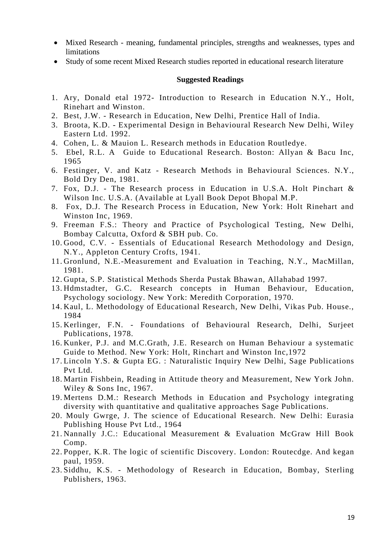- Mixed Research meaning, fundamental principles, strengths and weaknesses, types and limitations
- Study of some recent Mixed Research studies reported in educational research literature

- 1. Ary, Donald etal 1972- Introduction to Research in Education N.Y., Holt, Rinehart and Winston.
- 2. Best, J.W. Research in Education, New Delhi, Prentice Hall of India.
- 3. Broota, K.D. Experimental Design in Behavioural Research New Delhi, Wiley Eastern Ltd. 1992.
- 4. Cohen, L. & Mauion L. Research methods in Education Routledye.
- 5. Ebel, R.L. A Guide to Educational Research. Boston: Allyan & Bacu Inc, 1965
- 6. Festinger, V. and Katz Research Methods in Behavioural Sciences. N.Y., Bold Dry Den, 1981.
- 7. Fox, D.J. The Research process in Education in U.S.A. Holt Pinchart  $\&$ Wilson Inc. U.S.A. (Available at Lyall Book Depot Bhopal M.P.
- 8. Fox, D.J. The Research Process in Education, New York: Holt Rinehart and Winston Inc, 1969.
- 9. Freeman F.S.: Theory and Practice of Psychological Testing, New Delhi, Bombay Calcutta, Oxford & SBH pub. Co.
- 10. Good, C.V. Essentials of Educational Research Methodology and Design, N.Y., Appleton Century Crofts, 1941.
- 11. Gronlund, N.E.-Measurement and Evaluation in Teaching, N.Y., MacMillan, 1981.
- 12. Gupta, S.P. Statistical Methods Sherda Pustak Bhawan, Allahabad 1997.
- 13. Hdmstadter, G.C. Research concepts in Human Behaviour, Education, Psychology sociology. New York: Meredith Corporation, 1970.
- 14. Kaul, L. Methodology of Educational Research, New Delhi, Vikas Pub. House., 1984
- 15. Kerlinger, F.N. Foundations of Behavioural Research, Delhi, Surjeet Publications, 1978.
- 16. Kunker, P.J. and M.C.Grath, J.E. Research on Human Behaviour a systematic Guide to Method. New York: Holt, Rinchart and Winston Inc,1972
- 17. Lincoln Y.S. & Gupta EG. : Naturalistic Inquiry New Delhi, Sage Publications Pvt Ltd.
- 18. Martin Fishbein, Reading in Attitude theory and Measurement, New York John. Wiley & Sons Inc, 1967.
- 19. Mertens D.M.: Research Methods in Education and Psychology integrating diversity with quantitative and qualitative approaches Sage Publications.
- 20. Mouly Gwrge, J. The science of Educational Research. New Delhi: Eurasia Publishing House Pvt Ltd., 1964
- 21. Nannally J.C.: Educational Measurement & Evaluation McGraw Hill Book Comp.
- 22. Popper, K.R. The logic of scientific Discovery. London: Routecdge. And kegan paul, 1959.
- 23. Siddhu, K.S. Methodology of Research in Education, Bombay, Sterling Publishers, 1963.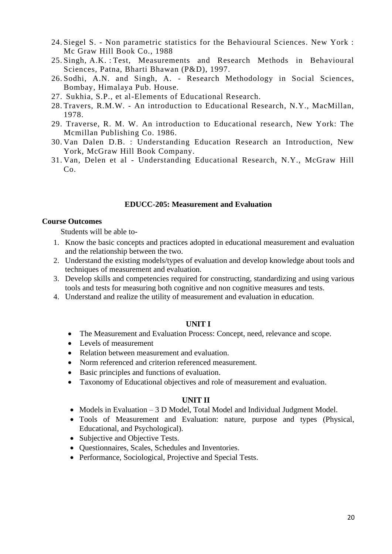- 24. Siegel S. Non parametric statistics for the Behavioural Sciences. New York : Mc Graw Hill Book Co., 1988
- 25. Singh, A.K. : Test, Measurements and Research Methods in Behavioural Sciences, Patna, Bharti Bhawan (P&D), 1997.
- 26. Sodhi, A.N. and Singh, A. Research Methodology in Social Sciences, Bombay, Himalaya Pub. House.
- 27. Sukhia, S.P., et al-Elements of Educational Research.
- 28. Travers, R.M.W. An introduction to Educational Research, N.Y., MacMillan, 1978.
- 29. Traverse, R. M. W. An introduction to Educational research, New York: The Mcmillan Publishing Co. 1986.
- 30. Van Dalen D.B. : Understanding Education Research an Introduction, New York, McGraw Hill Book Company.
- 31. Van, Delen et al Understanding Educational Research, N.Y., McGraw Hill  $Co.$

#### **EDUCC-205: Measurement and Evaluation**

#### **Course Outcomes**

Students will be able to-

- 1. Know the basic concepts and practices adopted in educational measurement and evaluation and the relationship between the two.
- 2. Understand the existing models/types of evaluation and develop knowledge about tools and techniques of measurement and evaluation.
- 3. Develop skills and competencies required for constructing, standardizing and using various tools and tests for measuring both cognitive and non cognitive measures and tests.
- 4. Understand and realize the utility of measurement and evaluation in education.

#### **UNIT I**

- The Measurement and Evaluation Process: Concept, need, relevance and scope.
- Levels of measurement
- Relation between measurement and evaluation.
- Norm referenced and criterion referenced measurement.
- Basic principles and functions of evaluation.
- Taxonomy of Educational objectives and role of measurement and evaluation.

### **UNIT II**

- Models in Evaluation 3 D Model, Total Model and Individual Judgment Model.
- Tools of Measurement and Evaluation: nature, purpose and types (Physical, Educational, and Psychological).
- Subjective and Objective Tests.
- Questionnaires, Scales, Schedules and Inventories.
- Performance, Sociological, Projective and Special Tests.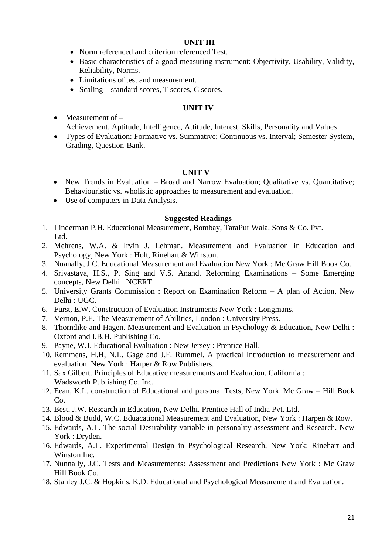#### **UNIT III**

- Norm referenced and criterion referenced Test.
- Basic characteristics of a good measuring instrument: Objectivity, Usability, Validity, Reliability, Norms.
- Limitations of test and measurement.
- Scaling standard scores, T scores, C scores.

### **UNIT IV**

- Measurement of  $-$ Achievement, Aptitude, Intelligence, Attitude, Interest, Skills, Personality and Values
- Types of Evaluation: Formative vs. Summative; Continuous vs. Interval; Semester System, Grading, Question-Bank.

### **UNIT V**

- New Trends in Evaluation Broad and Narrow Evaluation; Qualitative vs. Quantitative; Behaviouristic vs. wholistic approaches to measurement and evaluation.
- Use of computers in Data Analysis.

- 1. Linderman P.H. Educational Measurement, Bombay, TaraPur Wala. Sons & Co. Pvt. Ltd.
- 2. Mehrens, W.A. & Irvin J. Lehman. Measurement and Evaluation in Education and Psychology, New York : Holt, Rinehart & Winston.
- 3. Nuanally, J.C. Educational Measurement and Evaluation New York : Mc Graw Hill Book Co.
- 4. Srivastava, H.S., P. Sing and V.S. Anand. Reforming Examinations Some Emerging concepts, New Delhi : NCERT
- 5. University Grants Commission : Report on Examination Reform A plan of Action, New Delhi : UGC.
- 6. Furst, E.W. Construction of Evaluation Instruments New York : Longmans.
- 7. Vernon, P.E. The Measurement of Abilities, London : University Press.
- 8. Thorndike and Hagen. Measurement and Evaluation in Psychology & Education, New Delhi : Oxford and I.B.H. Publishing Co.
- 9. Payne, W.J. Educational Evaluation : New Jersey : Prentice Hall.
- 10. Remmens, H.H, N.L. Gage and J.F. Rummel. A practical Introduction to measurement and evaluation. New York : Harper & Row Publishers.
- 11. Sax Gilbert. Principles of Educative measurements and Evaluation. California : Wadsworth Publishing Co. Inc.
- 12. Eean, K.L. construction of Educational and personal Tests, New York. Mc Graw Hill Book  $Co<sub>1</sub>$
- 13. Best, J.W. Research in Education, New Delhi. Prentice Hall of India Pvt. Ltd.
- 14. Blood & Budd, W.C. Eduacational Measurement and Evaluation, New York : Harpen & Row.
- 15. Edwards, A.L. The social Desirability variable in personality assessment and Research. New York : Dryden.
- 16. Edwards, A.L. Experimental Design in Psychological Research, New York: Rinehart and Winston Inc.
- 17. Nunnally, J.C. Tests and Measurements: Assessment and Predictions New York : Mc Graw Hill Book Co.
- 18. Stanley J.C. & Hopkins, K.D. Educational and Psychological Measurement and Evaluation.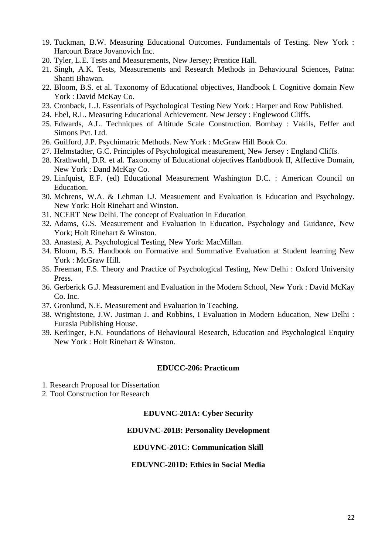- 19. Tuckman, B.W. Measuring Educational Outcomes. Fundamentals of Testing. New York : Harcourt Brace Jovanovich Inc.
- 20. Tyler, L.E. Tests and Measurements, New Jersey; Prentice Hall.
- 21. Singh, A.K. Tests, Measurements and Research Methods in Behavioural Sciences, Patna: Shanti Bhawan.
- 22. Bloom, B.S. et al. Taxonomy of Educational objectives, Handbook I. Cognitive domain New York : David McKay Co.
- 23. Cronback, L.J. Essentials of Psychological Testing New York : Harper and Row Published.
- 24. Ebel, R.L. Measuring Educational Achievement. New Jersey : Englewood Cliffs.
- 25. Edwards, A.L. Techniques of Altitude Scale Construction. Bombay : Vakils, Feffer and Simons Pvt. Ltd.
- 26. Guilford, J.P. Psychimatric Methods. New York : McGraw Hill Book Co.
- 27. Helmstadter, G.C. Principles of Psychological measurement, New Jersey : England Cliffs.
- 28. Krathwohl, D.R. et al. Taxonomy of Educational objectives Hanbdbook II, Affective Domain, New York : Dand McKay Co.
- 29. Linfquist, E.F. (ed) Educational Measurement Washington D.C. : American Council on Education.
- 30. Mchrens, W.A. & Lehman I.J. Measuement and Evaluation is Education and Psychology. New York: Holt Rinehart and Winston.
- 31. NCERT New Delhi. The concept of Evaluation in Education
- 32. Adams, G.S. Measurement and Evaluation in Education, Psychology and Guidance, New York; Holt Rinehart & Winston.
- 33. Anastasi, A. Psychological Testing, New York: MacMillan.
- 34. Bloom, B.S. Handbook on Formative and Summative Evaluation at Student learning New York : McGraw Hill.
- 35. Freeman, F.S. Theory and Practice of Psychological Testing, New Delhi : Oxford University Press.
- 36. Gerberick G.J. Measurement and Evaluation in the Modern School, New York : David McKay Co. Inc.
- 37. Gronlund, N.E. Measurement and Evaluation in Teaching.
- 38. Wrightstone, J.W. Justman J. and Robbins, I Evaluation in Modern Education, New Delhi : Eurasia Publishing House.
- 39. Kerlinger, F.N. Foundations of Behavioural Research, Education and Psychological Enquiry New York : Holt Rinehart & Winston.

#### **EDUCC-206: Practicum**

- 1. Research Proposal for Dissertation
- 2. Tool Construction for Research

#### **EDUVNC-201A: Cyber Security**

### **EDUVNC-201B: Personality Development**

#### **EDUVNC-201C: Communication Skill**

#### **EDUVNC-201D: Ethics in Social Media**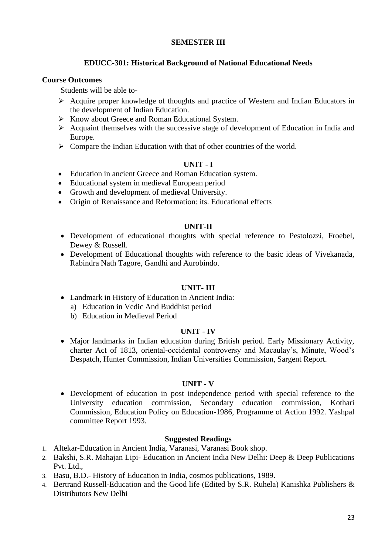## **SEMESTER III**

### **EDUCC-301: Historical Background of National Educational Needs**

#### **Course Outcomes**

Students will be able to-

- ➢ Acquire proper knowledge of thoughts and practice of Western and Indian Educators in the development of Indian Education.
- ➢ Know about Greece and Roman Educational System.
- ➢ Acquaint themselves with the successive stage of development of Education in India and Europe.
- ➢ Compare the Indian Education with that of other countries of the world.

### **UNIT - I**

- Education in ancient Greece and Roman Education system.
- Educational system in medieval European period
- Growth and development of medieval University.
- Origin of Renaissance and Reformation: its. Educational effects

#### **UNIT-II**

- Development of educational thoughts with special reference to Pestolozzi, Froebel, Dewey & Russell.
- Development of Educational thoughts with reference to the basic ideas of Vivekanada, Rabindra Nath Tagore, Gandhi and Aurobindo.

#### **UNIT- III**

- Landmark in History of Education in Ancient India:
	- a) Education in Vedic And Buddhist period
	- b) Education in Medieval Period

#### **UNIT - IV**

• Major landmarks in Indian education during British period. Early Missionary Activity, charter Act of 1813, oriental-occidental controversy and Macaulay's, Minute, Wood's Despatch, Hunter Commission, Indian Universities Commission, Sargent Report.

#### **UNIT - V**

• Development of education in post independence period with special reference to the University education commission, Secondary education commission, Kothari Commission, Education Policy on Education-1986, Programme of Action 1992. Yashpal committee Report 1993.

- 1. Altekar-Education in Ancient India, Varanasi, Varanasi Book shop.
- 2. Bakshi, S.R. Mahajan Lipi- Education in Ancient India New Delhi: Deep & Deep Publications Pvt. Ltd.,
- 3. Basu, B.D.- History of Education in India, cosmos publications, 1989.
- 4. Bertrand Russell-Education and the Good life (Edited by S.R. Ruhela) Kanishka Publishers & Distributors New Delhi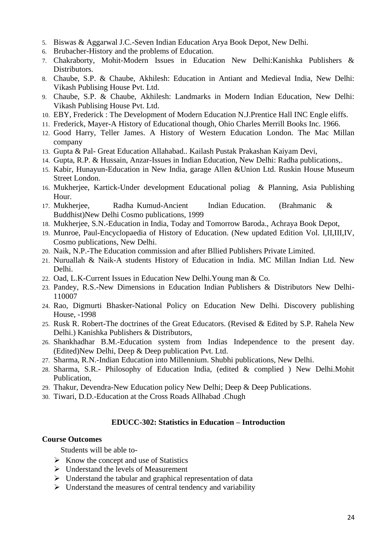- 5. Biswas & Aggarwal J.C.-Seven Indian Education Arya Book Depot, New Delhi.
- 6. Brubacher-History and the problems of Education.
- 7. Chakraborty, Mohit-Modern Issues in Education New Delhi:Kanishka Publishers & Distributors.
- 8. Chaube, S.P. & Chaube, Akhilesh: Education in Antiant and Medieval India, New Delhi: Vikash Publising House Pvt. Ltd.
- 9. Chaube, S.P. & Chaube, Akhilesh: Landmarks in Modern Indian Education, New Delhi: Vikash Publising House Pvt. Ltd.
- 10. EBY, Frederick : The Development of Modern Education N.J.Prentice Hall INC Engle eliffs.
- 11. Frederick, Mayer-A History of Educational though, Ohio Charles Merrill Books Inc. 1966.
- 12. Good Harry, Teller James. A History of Western Education London. The Mac Millan company
- 13. Gupta & Pal- Great Education Allahabad.. Kailash Pustak Prakashan Kaiyam Devi,
- 14. Gupta, R.P. & Hussain, Anzar-Issues in Indian Education, New Delhi: Radha publications,.
- 15. Kabir, Hunayun-Education in New India, garage Allen &Union Ltd. Ruskin House Museum Street London.
- 16. Mukherjee, Kartick-Under development Educational poliag & Planning, Asia Publishing Hour.
- 17. Mukherjee, Radha Kumud-Ancient Indian Education. (Brahmanic & Buddhist)New Delhi Cosmo publications, 1999
- 18. Mukherjee, S.N.-Education in India, Today and Tomorrow Baroda., Achraya Book Depot,
- 19. Munroe, Paul-Encyclopaedia of History of Education. (New updated Edition Vol. I,II,III,IV, Cosmo publications, New Delhi.
- 20. Naik, N.P.-The Education commission and after Bllied Publishers Private Limited.
- 21. Nuruallah & Naik-A students History of Education in India. MC Millan Indian Ltd. New Delhi.
- 22. Oad, L.K-Current Issues in Education New Delhi.Young man & Co.
- 23. Pandey, R.S.-New Dimensions in Education Indian Publishers & Distributors New Delhi-110007
- 24. Rao, Digmurti Bhasker-National Policy on Education New Delhi. Discovery publishing House, -1998
- 25. Rusk R. Robert-The doctrines of the Great Educators. (Revised & Edited by S.P. Rahela New Delhi.) Kanishka Publishers & Distributors,
- 26. Shankhadhar B.M.-Education system from Indias Independence to the present day. (Edited)New Delhi, Deep & Deep publication Pvt. Ltd.
- 27. Sharma, R.N.-Indian Education into Millennium. Shubhi publications, New Delhi.
- 28. Sharma, S.R.- Philosophy of Education India, (edited & complied ) New Delhi.Mohit Publication,
- 29. Thakur, Devendra-New Education policy New Delhi; Deep & Deep Publications.
- 30. Tiwari, D.D.-Education at the Cross Roads Allhabad .Chugh

### **EDUCC-302: Statistics in Education – Introduction**

#### **Course Outcomes**

Students will be able to-

- $\triangleright$  Know the concept and use of Statistics
- ➢ Understand the levels of Measurement
- $\triangleright$  Understand the tabular and graphical representation of data
- $\triangleright$  Understand the measures of central tendency and variability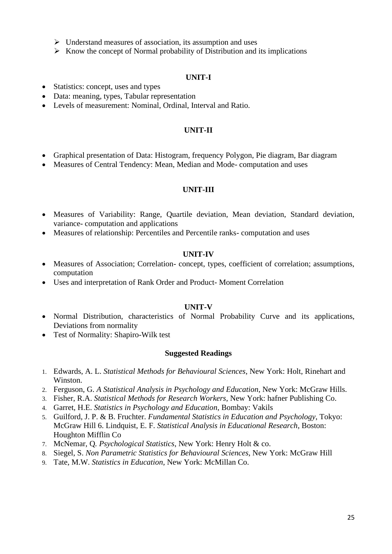- $\triangleright$  Understand measures of association, its assumption and uses
- $\triangleright$  Know the concept of Normal probability of Distribution and its implications

#### **UNIT-I**

- Statistics: concept, uses and types
- Data: meaning, types, Tabular representation
- Levels of measurement: Nominal, Ordinal, Interval and Ratio.

#### **UNIT-II**

- Graphical presentation of Data: Histogram, frequency Polygon, Pie diagram, Bar diagram
- Measures of Central Tendency: Mean, Median and Mode-computation and uses

#### **UNIT-III**

- Measures of Variability: Range, Quartile deviation, Mean deviation, Standard deviation, variance- computation and applications
- Measures of relationship: Percentiles and Percentile ranks- computation and uses

#### **UNIT-IV**

- Measures of Association; Correlation-concept, types, coefficient of correlation; assumptions, computation
- Uses and interpretation of Rank Order and Product- Moment Correlation

### **UNIT-V**

- Normal Distribution, characteristics of Normal Probability Curve and its applications, Deviations from normality
- Test of Normality: Shapiro-Wilk test

- 1. Edwards, A. L. *Statistical Methods for Behavioural Sciences*, New York: Holt, Rinehart and Winston.
- 2. Ferguson, G. *A Statistical Analysis in Psychology and Education*, New York: McGraw Hills.
- 3. Fisher, R.A. *Statistical Methods for Research Workers*, New York: hafner Publishing Co.
- 4. Garret, H.E. *Statistics in Psychology and Education*, Bombay: Vakils
- 5. Guilford, J. P. & B. Fruchter. *Fundamental Statistics in Education and Psychology*, Tokyo: McGraw Hill 6. Lindquist, E. F. *Statistical Analysis in Educational Research*, Boston: Houghton Mifflin Co
- 7. McNemar, Q*. Psychological Statistics*, New York: Henry Holt & co.
- 8. Siegel, S. *Non Parametric Statistics for Behavioural Sciences*, New York: McGraw Hill
- 9. Tate, M.W. *Statistics in Education*, New York: McMillan Co.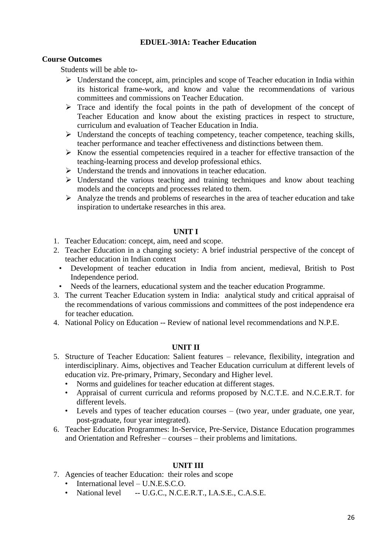## **EDUEL-301A: Teacher Education**

### **Course Outcomes**

Students will be able to-

- $\triangleright$  Understand the concept, aim, principles and scope of Teacher education in India within its historical frame-work, and know and value the recommendations of various committees and commissions on Teacher Education.
- ➢ Trace and identify the focal points in the path of development of the concept of Teacher Education and know about the existing practices in respect to structure, curriculum and evaluation of Teacher Education in India.
- $\triangleright$  Understand the concepts of teaching competency, teacher competence, teaching skills, teacher performance and teacher effectiveness and distinctions between them.
- $\triangleright$  Know the essential competencies required in a teacher for effective transaction of the teaching-learning process and develop professional ethics.
- $\triangleright$  Understand the trends and innovations in teacher education.
- ➢ Understand the various teaching and training techniques and know about teaching models and the concepts and processes related to them.
- ➢ Analyze the trends and problems of researches in the area of teacher education and take inspiration to undertake researches in this area.

### **UNIT I**

- 1. Teacher Education: concept, aim, need and scope.
- 2. Teacher Education in a changing society: A brief industrial perspective of the concept of teacher education in Indian context
	- Development of teacher education in India from ancient, medieval, British to Post Independence period.
- Needs of the learners, educational system and the teacher education Programme.
- 3. The current Teacher Education system in India: analytical study and critical appraisal of the recommendations of various commissions and committees of the post independence era for teacher education.
- 4. National Policy on Education -- Review of national level recommendations and N.P.E.

## **UNIT II**

- 5. Structure of Teacher Education: Salient features relevance, flexibility, integration and interdisciplinary. Aims, objectives and Teacher Education curriculum at different levels of education viz. Pre-primary, Primary, Secondary and Higher level.
	- Norms and guidelines for teacher education at different stages.
	- Appraisal of current curricula and reforms proposed by N.C.T.E. and N.C.E.R.T. for different levels.
	- Levels and types of teacher education courses (two year, under graduate, one year, post-graduate, four year integrated).
- 6. Teacher Education Programmes: In-Service, Pre-Service, Distance Education programmes and Orientation and Refresher – courses – their problems and limitations.

# **UNIT III**

- 7. Agencies of teacher Education: their roles and scope
	- International level U.N.E.S.C.O.
	- National level -- U.G.C., N.C.E.R.T., I.A.S.E., C.A.S.E.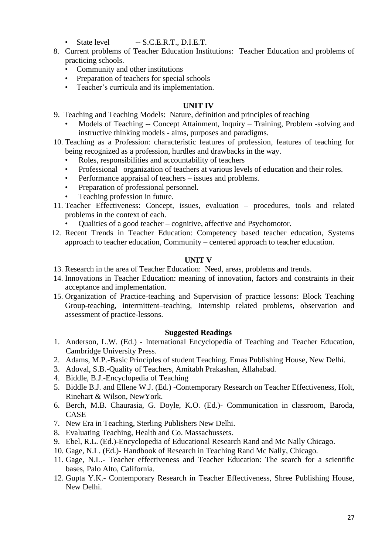- State level -- S.C.E.R.T., D.I.E.T.
- 8. Current problems of Teacher Education Institutions: Teacher Education and problems of practicing schools.
	- Community and other institutions<br>• Prenaration of teachers for special
	- Preparation of teachers for special schools
	- Teacher's curricula and its implementation.

## **UNIT IV**

- 9. Teaching and Teaching Models: Nature, definition and principles of teaching
	- Models of Teaching -- Concept Attainment, Inquiry Training, Problem -solving and instructive thinking models - aims, purposes and paradigms.
- 10. Teaching as a Profession: characteristic features of profession, features of teaching for being recognized as a profession, hurdles and drawbacks in the way.
	- Roles, responsibilities and accountability of teachers
	- Professional organization of teachers at various levels of education and their roles.
	- Performance appraisal of teachers issues and problems.
	- Preparation of professional personnel.
	- Teaching profession in future.
- 11. Teacher Effectiveness: Concept, issues, evaluation procedures, tools and related problems in the context of each.
	- Qualities of a good teacher cognitive, affective and Psychomotor.
- 12. Recent Trends in Teacher Education: Competency based teacher education, Systems approach to teacher education, Community – centered approach to teacher education.

## **UNIT V**

- 13. Research in the area of Teacher Education: Need, areas, problems and trends.
- 14. Innovations in Teacher Education: meaning of innovation, factors and constraints in their acceptance and implementation.
- 15. Organization of Practice-teaching and Supervision of practice lessons: Block Teaching Group-teaching, intermittent–teaching, Internship related problems, observation and assessment of practice-lessons.

- 1. Anderson, L.W. (Ed.) International Encyclopedia of Teaching and Teacher Education, Cambridge University Press.
- 2. Adams, M.P.-Basic Principles of student Teaching. Emas Publishing House, New Delhi.
- 3. Adoval, S.B.-Quality of Teachers, Amitabh Prakashan, Allahabad.
- 4. Biddle, B.J.-Encyclopedia of Teaching
- 5. Biddle B.J. and Ellene W.J. (Ed.) -Contemporary Research on Teacher Effectiveness, Holt, Rinehart & Wilson, NewYork.
- 6. Berch, M.B. Chaurasia, G. Doyle, K.O. (Ed.)- Communication in classroom, Baroda, CASE
- 7. New Era in Teaching, Sterling Publishers New Delhi.
- 8. Evaluating Teaching, Health and Co. Massachussets.
- 9. Ebel, R.L. (Ed.)-Encyclopedia of Educational Research Rand and Mc Nally Chicago.
- 10. Gage, N.L. (Ed.)- Handbook of Research in Teaching Rand Mc Nally, Chicago.
- 11. Gage, N.L.- Teacher effectiveness and Teacher Education: The search for a scientific bases, Palo Alto, California.
- 12. Gupta Y.K.- Contemporary Research in Teacher Effectiveness, Shree Publishing House, New Delhi.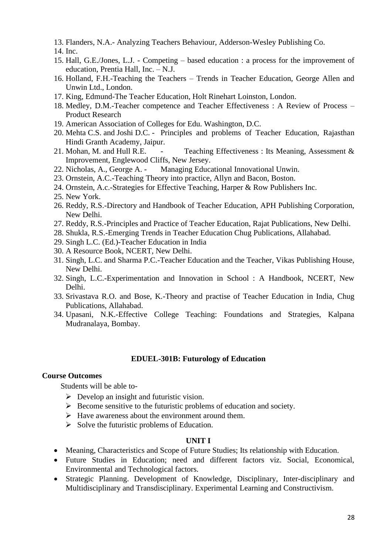13. Flanders, N.A.- Analyzing Teachers Behaviour, Adderson-Wesley Publishing Co.

14. Inc.

- 15. Hall, G.E./Jones, L.J. Competing based education : a process for the improvement of education, Prentia Hall, Inc. – N.J.
- 16. Holland, F.H.-Teaching the Teachers Trends in Teacher Education, George Allen and Unwin Ltd., London.
- 17. King, Edmund-The Teacher Education, Holt Rinehart Loinston, London.
- 18. Medley, D.M.-Teacher competence and Teacher Effectiveness : A Review of Process Product Research
- 19. American Association of Colleges for Edu. Washington, D.C.
- 20. Mehta C.S. and Joshi D.C. Principles and problems of Teacher Education, Rajasthan Hindi Granth Academy, Jaipur.
- 21. Mohan, M. and Hull R.E. Teaching Effectiveness : Its Meaning, Assessment & Improvement, Englewood Cliffs, New Jersey.
- 22. Nicholas, A., George A. Managing Educational Innovational Unwin.
- 23. Ornstein, A.C.-Teaching Theory into practice, Allyn and Bacon, Boston.
- 24. Ornstein, A.c.-Strategies for Effective Teaching, Harper & Row Publishers Inc.
- 25. New York.
- 26. Reddy, R.S.-Directory and Handbook of Teacher Education, APH Publishing Corporation, New Delhi.
- 27. Reddy, R.S.-Principles and Practice of Teacher Education, Rajat Publications, New Delhi.
- 28. Shukla, R.S.-Emerging Trends in Teacher Education Chug Publications, Allahabad.
- 29. Singh L.C. (Ed.)-Teacher Education in India
- 30. A Resource Book, NCERT, New Delhi.
- 31. Singh, L.C. and Sharma P.C.-Teacher Education and the Teacher, Vikas Publishing House, New Delhi.
- 32. Singh, L.C.-Experimentation and Innovation in School : A Handbook, NCERT, New Delhi.
- 33. Srivastava R.O. and Bose, K.-Theory and practise of Teacher Education in India, Chug Publications, Allahabad.
- 34. Upasani, N.K.-Effective College Teaching: Foundations and Strategies, Kalpana Mudranalaya, Bombay.

### **EDUEL-301B: Futurology of Education**

#### **Course Outcomes**

Students will be able to-

- $\triangleright$  Develop an insight and futuristic vision.
- $\triangleright$  Become sensitive to the futuristic problems of education and society.
- $\triangleright$  Have awareness about the environment around them.
- $\triangleright$  Solve the futuristic problems of Education.

## **UNIT I**

- Meaning, Characteristics and Scope of Future Studies; Its relationship with Education.
- Future Studies in Education; need and different factors viz. Social, Economical, Environmental and Technological factors.
- Strategic Planning. Development of Knowledge, Disciplinary, Inter-disciplinary and Multidisciplinary and Transdisciplinary. Experimental Learning and Constructivism.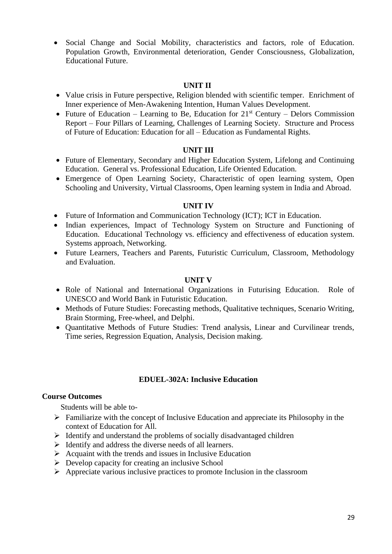• Social Change and Social Mobility, characteristics and factors, role of Education. Population Growth, Environmental deterioration, Gender Consciousness, Globalization, Educational Future.

## **UNIT II**

- Value crisis in Future perspective, Religion blended with scientific temper. Enrichment of Inner experience of Men-Awakening Intention, Human Values Development.
- Future of Education Learning to Be, Education for  $21<sup>st</sup>$  Century Delors Commission Report – Four Pillars of Learning, Challenges of Learning Society. Structure and Process of Future of Education: Education for all – Education as Fundamental Rights.

## **UNIT III**

- Future of Elementary, Secondary and Higher Education System, Lifelong and Continuing Education. General vs. Professional Education, Life Oriented Education.
- Emergence of Open Learning Society, Characteristic of open learning system, Open Schooling and University, Virtual Classrooms, Open learning system in India and Abroad.

### **UNIT IV**

- Future of Information and Communication Technology (ICT); ICT in Education.
- Indian experiences, Impact of Technology System on Structure and Functioning of Education. Educational Technology vs. efficiency and effectiveness of education system. Systems approach, Networking.
- Future Learners, Teachers and Parents, Futuristic Curriculum, Classroom, Methodology and Evaluation.

### **UNIT V**

- Role of National and International Organizations in Futurising Education. Role of UNESCO and World Bank in Futuristic Education.
- Methods of Future Studies: Forecasting methods, Qualitative techniques, Scenario Writing, Brain Storming, Free-wheel, and Delphi.
- Quantitative Methods of Future Studies: Trend analysis, Linear and Curvilinear trends, Time series, Regression Equation, Analysis, Decision making.

## **EDUEL-302A: Inclusive Education**

#### **Course Outcomes**

Students will be able to-

- ➢ Familiarize with the concept of Inclusive Education and appreciate its Philosophy in the context of Education for All.
- ➢ Identify and understand the problems of socially disadvantaged children
- ➢ Identify and address the diverse needs of all learners.
- $\triangleright$  Acquaint with the trends and issues in Inclusive Education
- $\triangleright$  Develop capacity for creating an inclusive School
- $\triangleright$  Appreciate various inclusive practices to promote Inclusion in the classroom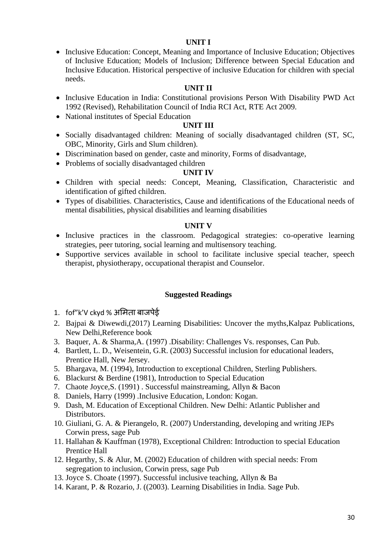### **UNIT I**

• Inclusive Education: Concept, Meaning and Importance of Inclusive Education; Objectives of Inclusive Education; Models of Inclusion; Difference between Special Education and Inclusive Education. Historical perspective of inclusive Education for children with special needs.

## **UNIT II**

- Inclusive Education in India: Constitutional provisions Person With Disability PWD Act 1992 (Revised), Rehabilitation Council of India RCI Act, RTE Act 2009.
- National institutes of Special Education

## **UNIT III**

- Socially disadvantaged children: Meaning of socially disadvantaged children (ST, SC, OBC, Minority, Girls and Slum children).
- Discrimination based on gender, caste and minority, Forms of disadvantage,
- Problems of socially disadvantaged children

# **UNIT IV**

- Children with special needs: Concept, Meaning, Classification, Characteristic and identification of gifted children.
- Types of disabilities. Characteristics, Cause and identifications of the Educational needs of mental disabilities, physical disabilities and learning disabilities

## **UNIT V**

- Inclusive practices in the classroom. Pedagogical strategies: co-operative learning strategies, peer tutoring, social learning and multisensory teaching.
- Supportive services available in school to facilitate inclusive special teacher, speech therapist, physiotherapy, occupational therapist and Counselor.

- 1. fof"k'V ckyd % अमिता बाजपेई
- 2. Bajpai & Diwewdi,(2017) Learning Disabilities: Uncover the myths,Kalpaz Publications, New Delhi,Reference book
- 3. Baquer, A. & Sharma,A. (1997) .Disability: Challenges Vs. responses, Can Pub.
- 4. Bartlett, L. D., Weisentein, G.R. (2003) Successful inclusion for educational leaders, Prentice Hall, New Jersey.
- 5. Bhargava, M. (1994), Introduction to exceptional Children, Sterling Publishers.
- 6. Blackurst & Berdine (1981), Introduction to Special Education
- 7. Chaote Joyce,S. (1991) . Successful mainstreaming, Allyn & Bacon
- 8. Daniels, Harry (1999) .Inclusive Education, London: Kogan.
- 9. Dash, M. Education of Exceptional Children. New Delhi: Atlantic Publisher and Distributors.
- 10. Giuliani, G. A. & Pierangelo, R. (2007) Understanding, developing and writing JEPs Corwin press, sage Pub
- 11. Hallahan & Kauffman (1978), Exceptional Children: Introduction to special Education Prentice Hall
- 12. Hegarthy, S. & Alur, M. (2002) Education of children with special needs: From segregation to inclusion, Corwin press, sage Pub
- 13. Joyce S. Choate (1997). Successful inclusive teaching, Allyn & Ba
- 14. Karant, P. & Rozario, J. ((2003). Learning Disabilities in India. Sage Pub.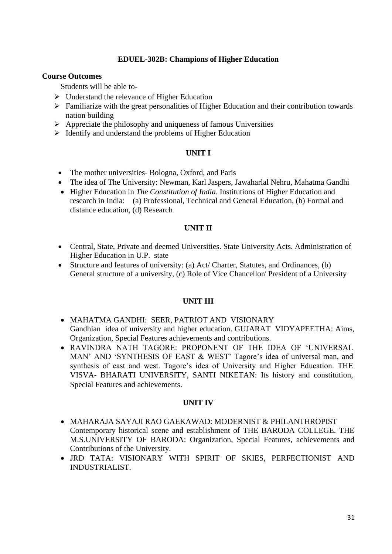### **EDUEL-302B: Champions of Higher Education**

#### **Course Outcomes**

Students will be able to-

- ➢ Understand the relevance of Higher Education
- $\triangleright$  Familiarize with the great personalities of Higher Education and their contribution towards nation building
- ➢ Appreciate the philosophy and uniqueness of famous Universities
- ➢ Identify and understand the problems of Higher Education

### **UNIT I**

- The mother universities Bologna, Oxford, and Paris
- The idea of The University: Newman, Karl Jaspers, Jawaharlal Nehru, Mahatma Gandhi
- Higher Education in *The Constitution of India*. Institutions of Higher Education and research in India: (a) Professional, Technical and General Education, (b) Formal and distance education, (d) Research

### **UNIT II**

- Central, State, Private and deemed Universities. State University Acts. Administration of Higher Education in U.P. state
- Structure and features of university: (a) Act/ Charter, Statutes, and Ordinances, (b) General structure of a university, (c) Role of Vice Chancellor/ President of a University

## **UNIT III**

- MAHATMA GANDHI: SEER, PATRIOT AND VISIONARY Gandhian idea of university and higher education. GUJARAT VIDYAPEETHA: Aims, Organization, Special Features achievements and contributions.
- RAVINDRA NATH TAGORE: PROPONENT OF THE IDEA OF 'UNIVERSAL MAN' AND 'SYNTHESIS OF EAST & WEST' Tagore's idea of universal man, and synthesis of east and west. Tagore's idea of University and Higher Education. THE VISVA‐ BHARATI UNIVERSITY, SANTI NIKETAN: Its history and constitution, Special Features and achievements.

#### **UNIT IV**

- MAHARAJA SAYAJI RAO GAEKAWAD: MODERNIST & PHILANTHROPIST Contemporary historical scene and establishment of THE BARODA COLLEGE. THE M.S.UNIVERSITY OF BARODA: Organization, Special Features, achievements and Contributions of the University.
- JRD TATA: VISIONARY WITH SPIRIT OF SKIES, PERFECTIONIST AND INDUSTRIALIST.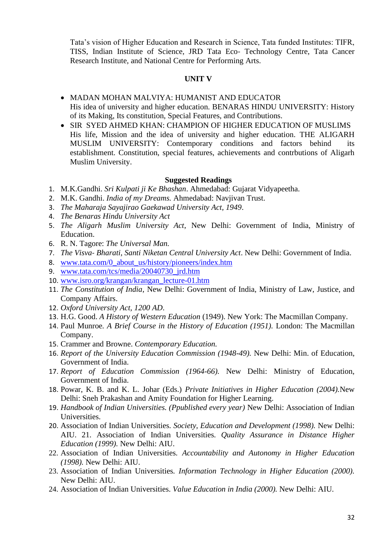Tata's vision of Higher Education and Research in Science, Tata funded Institutes: TIFR, TISS, Indian Institute of Science, JRD Tata Eco‐ Technology Centre, Tata Cancer Research Institute, and National Centre for Performing Arts.

### **UNIT V**

- MADAN MOHAN MALVIYA: HUMANIST AND EDUCATOR His idea of university and higher education. BENARAS HINDU UNIVERSITY: History of its Making, Its constitution, Special Features, and Contributions.
- SIR SYED AHMED KHAN: CHAMPION OF HIGHER EDUCATION OF MUSLIMS His life, Mission and the idea of university and higher education. THE ALIGARH MUSLIM UNIVERSITY: Contemporary conditions and factors behind establishment. Constitution, special features, achievements and contrbutions of Aligarh Muslim University.

- 1. M.K.Gandhi. *Sri Kulpati ji Ke Bhashan*. Ahmedabad: Gujarat Vidyapeetha.
- 2. M.K. Gandhi. *India of my Dreams.* Ahmedabad: Navjivan Trust.
- 3. *The Maharaja Sayajirao Gaekawad University Act, 1949*.
- 4. *The Benaras Hindu University Act*
- 5. *The Aligarh Muslim University Act*, New Delhi: Government of India, Ministry of Education.
- 6. R. N. Tagore: *The Universal Man.*
- 7. *The Visva‐ Bharati, Santi Niketan Central University Act*. New Delhi: Government of India.
- 8. www.tata.com/0 about us/history/pioneers/index.htm
- 9. www.tata.com/tcs/media/20040730\_ird.htm
- 10. www.isro.org/krangan/krangan\_lecture-01.htm
- 11. *The Constitution of India*, New Delhi: Government of India, Ministry of Law, Justice, and Company Affairs.
- 12. *Oxford University Act, 1200 AD*.
- 13. H.G. Good. *A History of Western Education* (1949). New York: The Macmillan Company.
- 14. Paul Munroe*. A Brief Course in the History of Education (1951).* London: The Macmillan Company.
- 15. Crammer and Browne. *Contemporary Education.*
- 16. *Report of the University Education Commission (1948-49).* New Delhi: Min. of Education, Government of India.
- 17. *Report of Education Commission (1964-66).* New Delhi: Ministry of Education, Government of India.
- 18. Powar, K. B. and K. L. Johar (Eds.) *Private Initiatives in Higher Education (2004).*New Delhi: Sneh Prakashan and Amity Foundation for Higher Learning.
- 19. *Handbook of Indian Universities. (Ppublished every year)* New Delhi: Association of Indian Universities.
- 20. Association of Indian Universities*. Society, Education and Development (1998).* New Delhi: AIU. 21. Association of Indian Universities*. Quality Assurance in Distance Higher Education (1999).* New Delhi: AIU.
- 22. Association of Indian Universities*. Accountability and Autonomy in Higher Education (1998).* New Delhi: AIU.
- 23. Association of Indian Universities*. Information Technology in Higher Education (2000).*  New Delhi: AIU.
- 24. Association of Indian Universities. *Value Education in India (2000).* New Delhi: AIU.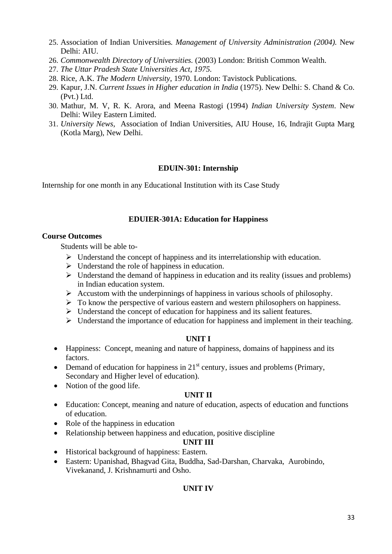- 25. Association of Indian Universities*. Management of University Administration (2004).* New Delhi: AIU.
- 26. *Commonwealth Directory of Universities.* (2003) London: British Common Wealth.
- 27. *The Uttar Pradesh State Universities Act, 1975.*
- 28. Rice, A.K. *The Modern University*, 1970. London: Tavistock Publications.
- 29. Kapur, J.N. *Current Issues in Higher education in India* (1975). New Delhi: S. Chand & Co. (Pvt.) Ltd.
- 30. Mathur, M. V, R. K. Arora, and Meena Rastogi (1994) *Indian University System*. New Delhi: Wiley Eastern Limited.
- 31. *University News,* Association of Indian Universities, AIU House, 16, Indrajit Gupta Marg (Kotla Marg), New Delhi.

### **EDUIN-301: Internship**

Internship for one month in any Educational Institution with its Case Study

### **EDUIER-301A: Education for Happiness**

#### **Course Outcomes**

Students will be able to-

- ➢ Understand the concept of happiness and its interrelationship with education.
- $\triangleright$  Understand the role of happiness in education.
- ➢ Understand the demand of happiness in education and its reality (issues and problems) in Indian education system.
- $\triangleright$  Accustom with the underpinnings of happiness in various schools of philosophy.
- $\triangleright$  To know the perspective of various eastern and western philosophers on happiness.
- ➢ Understand the concept of education for happiness and its salient features.
- ➢ Understand the importance of education for happiness and implement in their teaching.

#### **UNIT I**

- Happiness: Concept, meaning and nature of happiness, domains of happiness and its factors.
- Demand of education for happiness in  $21<sup>st</sup>$  century, issues and problems (Primary, Secondary and Higher level of education).
- Notion of the good life.

## **UNIT II**

- Education: Concept, meaning and nature of education, aspects of education and functions of education.
- Role of the happiness in education
- Relationship between happiness and education, positive discipline

#### **UNIT III**

- Historical background of happiness: Eastern.
- Eastern: Upanishad, Bhagvad Gita, Buddha, Sad-Darshan, Charvaka, Aurobindo, Vivekanand, J. Krishnamurti and Osho.

## **UNIT IV**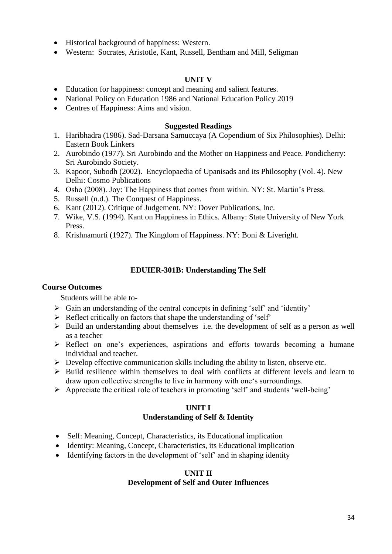- Historical background of happiness: Western.
- Western: Socrates, Aristotle, Kant, Russell, Bentham and Mill, Seligman

### **UNIT V**

- Education for happiness: concept and meaning and salient features.
- National Policy on Education 1986 and National Education Policy 2019
- Centres of Happiness: Aims and vision.

#### **Suggested Readings**

- 1. Haribhadra (1986). Sad-Darsana Samuccaya (A Copendium of Six Philosophies). Delhi: Eastern Book Linkers
- 2. Aurobindo (1977). Sri Aurobindo and the Mother on Happiness and Peace. Pondicherry: Sri Aurobindo Society.
- 3. Kapoor, Subodh (2002). Encyclopaedia of Upanisads and its Philosophy (Vol. 4). New Delhi: Cosmo Publications
- 4. Osho (2008). Joy: The Happiness that comes from within. NY: St. Martin's Press.
- 5. Russell (n.d.). The Conquest of Happiness.
- 6. Kant (2012). Critique of Judgement. NY: Dover Publications, Inc.
- 7. Wike, V.S. (1994). Kant on Happiness in Ethics. Albany: State University of New York Press.
- 8. Krishnamurti (1927). The Kingdom of Happiness. NY: Boni & Liveright.

### **EDUIER-301B: Understanding The Self**

#### **Course Outcomes**

Students will be able to-

- ➢ Gain an understanding of the central concepts in defining 'self' and 'identity'
- $\triangleright$  Reflect critically on factors that shape the understanding of 'self'
- ➢ Build an understanding about themselves i.e. the development of self as a person as well as a teacher
- ➢ Reflect on one's experiences, aspirations and efforts towards becoming a humane individual and teacher.
- $\triangleright$  Develop effective communication skills including the ability to listen, observe etc.
- $\triangleright$  Build resilience within themselves to deal with conflicts at different levels and learn to draw upon collective strengths to live in harmony with one's surroundings.
- ➢ Appreciate the critical role of teachers in promoting 'self' and students 'well-being'

# **UNIT I Understanding of Self & Identity**

- Self: Meaning, Concept, Characteristics, its Educational implication
- Identity: Meaning, Concept, Characteristics, its Educational implication
- Identifying factors in the development of 'self' and in shaping identity

#### **UNIT II Development of Self and Outer Influences**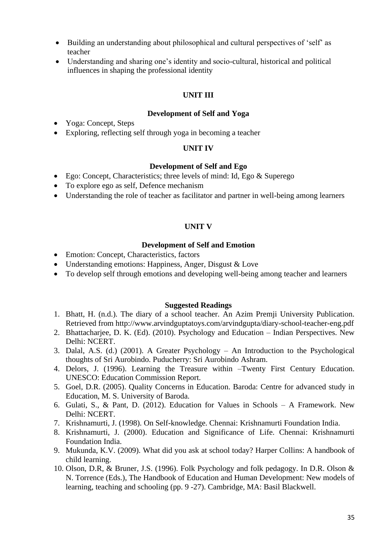- Building an understanding about philosophical and cultural perspectives of 'self' as teacher
- Understanding and sharing one's identity and socio-cultural, historical and political influences in shaping the professional identity

# **UNIT III**

### **Development of Self and Yoga**

- Yoga: Concept, Steps
- Exploring, reflecting self through yoga in becoming a teacher

#### **UNIT IV**

#### **Development of Self and Ego**

- Ego: Concept, Characteristics; three levels of mind: Id, Ego & Superego
- To explore ego as self, Defence mechanism
- Understanding the role of teacher as facilitator and partner in well-being among learners

### **UNIT V**

#### **Development of Self and Emotion**

- Emotion: Concept, Characteristics, factors
- Understanding emotions: Happiness, Anger, Disgust & Love
- To develop self through emotions and developing well-being among teacher and learners

- 1. Bhatt, H. (n.d.). The diary of a school teacher. An Azim Premji University Publication. Retrieved from http://www.arvindguptatoys.com/arvindgupta/diary-school-teacher-eng.pdf
- 2. Bhattacharjee, D. K. (Ed). (2010). Psychology and Education Indian Perspectives. New Delhi: NCERT.
- 3. Dalal, A.S. (d.) (2001). A Greater Psychology An Introduction to the Psychological thoughts of Sri Aurobindo. Puducherry: Sri Aurobindo Ashram.
- 4. Delors, J. (1996). Learning the Treasure within –Twenty First Century Education. UNESCO: Education Commission Report.
- 5. Goel, D.R. (2005). Quality Concerns in Education. Baroda: Centre for advanced study in Education, M. S. University of Baroda.
- 6. Gulati, S., & Pant, D. (2012). Education for Values in Schools A Framework. New Delhi: NCERT.
- 7. Krishnamurti, J. (1998). On Self-knowledge. Chennai: Krishnamurti Foundation India.
- 8. Krishnamurti, J. (2000). Education and Significance of Life. Chennai: Krishnamurti Foundation India.
- 9. Mukunda, K.V. (2009). What did you ask at school today? Harper Collins: A handbook of child learning.
- 10. Olson, D.R, & Bruner, J.S. (1996). Folk Psychology and folk pedagogy. In D.R. Olson & N. Torrence (Eds.), The Handbook of Education and Human Development: New models of learning, teaching and schooling (pp. 9 -27). Cambridge, MA: Basil Blackwell.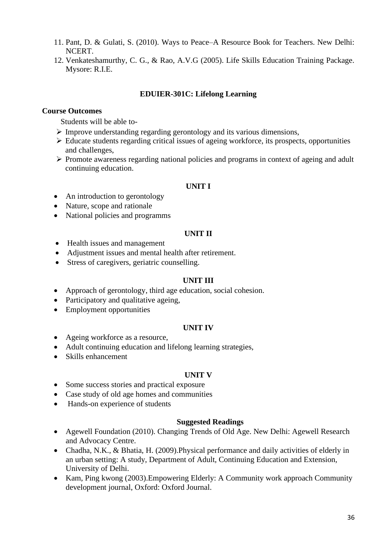- 11. Pant, D. & Gulati, S. (2010). Ways to Peace–A Resource Book for Teachers. New Delhi: NCERT.
- 12. Venkateshamurthy, C. G., & Rao, A.V.G (2005). Life Skills Education Training Package. Mysore: R.I.E.

## **EDUIER-301C: Lifelong Learning**

### **Course Outcomes**

Students will be able to-

- ➢ Improve understanding regarding gerontology and its various dimensions,
- ➢ Educate students regarding critical issues of ageing workforce, its prospects, opportunities and challenges,
- ➢ Promote awareness regarding national policies and programs in context of ageing and adult continuing education.

## **UNIT I**

- An introduction to gerontology
- Nature, scope and rationale
- National policies and programms

### **UNIT II**

- Health issues and management
- Adjustment issues and mental health after retirement.
- Stress of caregivers, geriatric counselling.

### **UNIT III**

- Approach of gerontology, third age education, social cohesion.
- Participatory and qualitative ageing,
- Employment opportunities

#### **UNIT IV**

- Ageing workforce as a resource,
- Adult continuing education and lifelong learning strategies,
- Skills enhancement

#### **UNIT V**

- Some success stories and practical exposure
- Case study of old age homes and communities
- Hands-on experience of students

- Agewell Foundation (2010). Changing Trends of Old Age. New Delhi: Agewell Research and Advocacy Centre.
- Chadha, N.K., & Bhatia, H. (2009). Physical performance and daily activities of elderly in an urban setting: A study, Department of Adult, Continuing Education and Extension, University of Delhi.
- Kam, Ping kwong (2003).Empowering Elderly: A Community work approach Community development journal, Oxford: Oxford Journal.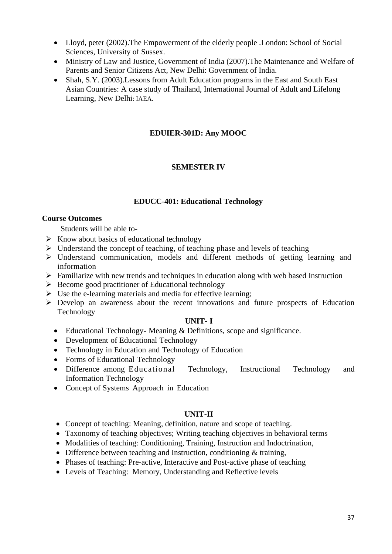- Lloyd, peter (2002). The Empowerment of the elderly people . London: School of Social Sciences, University of Sussex.
- Ministry of Law and Justice, Government of India (2007).The Maintenance and Welfare of Parents and Senior Citizens Act, New Delhi: Government of India.
- Shah, S.Y. (2003). Lessons from Adult Education programs in the East and South East Asian Countries: A case study of Thailand, International Journal of Adult and Lifelong Learning, New Delhi: IAEA.

## **EDUIER-301D: Any MOOC**

## **SEMESTER IV**

## **EDUCC-401: Educational Technology**

#### **Course Outcomes**

Students will be able to-

- $\triangleright$  Know about basics of educational technology
- $\triangleright$  Understand the concept of teaching, of teaching phase and levels of teaching
- ➢ Understand communication, models and different methods of getting learning and information
- ➢ Familiarize with new trends and techniques in education along with web based Instruction
- $\triangleright$  Become good practitioner of Educational technology
- $\triangleright$  Use the e-learning materials and media for effective learning;
- ➢ Develop an awareness about the recent innovations and future prospects of Education Technology

### **UNIT- I**

- Educational Technology- Meaning & Definitions, scope and significance.
- Development of Educational Technology
- Technology in Education and Technology of Education
- Forms of Educational Technology
- Difference among Educational Technology, Instructional Technology and Information Technology
- Concept of Systems Approach in Education

#### **UNIT-II**

- Concept of teaching: Meaning, definition, nature and scope of teaching.
- Taxonomy of teaching objectives; Writing teaching objectives in behavioral terms
- Modalities of teaching: Conditioning, Training, Instruction and Indoctrination,
- Difference between teaching and Instruction, conditioning & training,
- Phases of teaching: Pre-active, Interactive and Post-active phase of teaching
- Levels of Teaching: Memory, Understanding and Reflective levels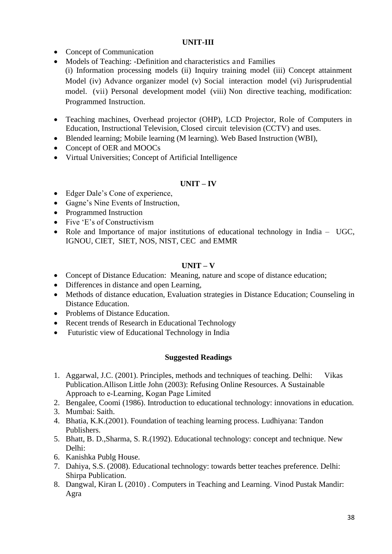## **UNIT-III**

- Concept of Communication
- Models of Teaching: -Definition and characteristics and Families
- (i) Information processing models (ii) Inquiry training model (iii) Concept attainment Model (iv) Advance organizer model (v) Social interaction model (vi) Jurisprudential model. (vii) Personal development model (viii) Non directive teaching, modification: Programmed Instruction.
- Teaching machines, Overhead projector (OHP), LCD Projector, Role of Computers in Education, Instructional Television, Closed circuit television (CCTV) and uses.
- Blended learning; Mobile learning (M learning). Web Based Instruction (WBI),
- Concept of OER and MOOCs
- Virtual Universities; Concept of Artificial Intelligence

# **UNIT – IV**

- Edger Dale's Cone of experience,
- Gagne's Nine Events of Instruction,
- Programmed Instruction
- Five 'E's of Constructivism
- Role and Importance of major institutions of educational technology in India UGC, IGNOU, CIET, SIET, NOS, NIST, CEC and EMMR

# **UNIT – V**

- Concept of Distance Education: Meaning, nature and scope of distance education;
- Differences in distance and open Learning,
- Methods of distance education, Evaluation strategies in Distance Education; Counseling in Distance Education.
- Problems of Distance Education.
- Recent trends of Research in Educational Technology
- Futuristic view of Educational Technology in India

- 1. Aggarwal, J.C. (2001). Principles, methods and techniques of teaching. Delhi: Vikas Publication.Allison Little John (2003): Refusing Online Resources. A Sustainable Approach to e‐Learning, Kogan Page Limited
- 2. Bengalee, Coomi (1986). Introduction to educational technology: innovations in education.
- 3. Mumbai: Saith.
- 4. Bhatia, K.K.(2001). Foundation of teaching learning process. Ludhiyana: Tandon Publishers.
- 5. Bhatt, B. D.,Sharma, S. R.(1992). Educational technology: concept and technique. New Delhi:
- 6. Kanishka Publg House.
- 7. Dahiya, S.S. (2008). Educational technology: towards better teaches preference. Delhi: Shirpa Publication.
- 8. Dangwal, Kiran L (2010) . Computers in Teaching and Learning. Vinod Pustak Mandir: Agra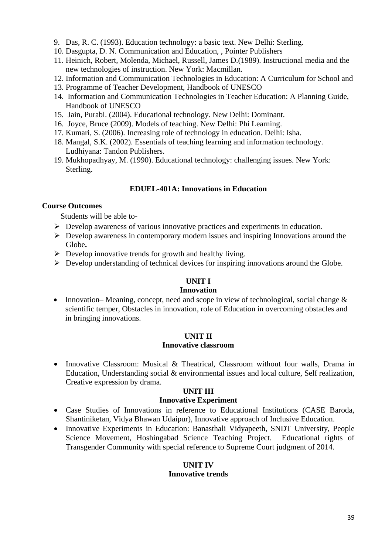- 9. Das, R. C. (1993). Education technology: a basic text. New Delhi: Sterling.
- 10. Dasgupta, D. N. Communication and Education, , Pointer Publishers
- 11. Heinich, Robert, Molenda, Michael, Russell, James D.(1989). Instructional media and the new technologies of instruction. New York: Macmillan.
- 12. Information and Communication Technologies in Education: A Curriculum for School and
- 13. Programme of Teacher Development, Handbook of UNESCO
- 14. Information and Communication Technologies in Teacher Education: A Planning Guide, Handbook of UNESCO
- 15. Jain, Purabi. (2004). Educational technology. New Delhi: Dominant.
- 16. Joyce, Bruce (2009). Models of teaching. New Delhi: Phi Learning.
- 17. Kumari, S. (2006). Increasing role of technology in education. Delhi: Isha.
- 18. Mangal, S.K. (2002). Essentials of teaching learning and information technology. Ludhiyana: Tandon Publishers.
- 19. Mukhopadhyay, M. (1990). Educational technology: challenging issues. New York: Sterling.

### **EDUEL-401A: Innovations in Education**

### **Course Outcomes**

Students will be able to-

- ➢ Develop awareness of various innovative practices and experiments in education.
- $\triangleright$  Develop awareness in contemporary modern issues and inspiring Innovations around the Globe**.**
- $\triangleright$  Develop innovative trends for growth and healthy living.
- $\triangleright$  Develop understanding of technical devices for inspiring innovations around the Globe.

## **UNIT I**

### **Innovation**

• Innovation– Meaning, concept, need and scope in view of technological, social change  $\&$ scientific temper, Obstacles in innovation, role of Education in overcoming obstacles and in bringing innovations.

### **UNIT II Innovative classroom**

• Innovative Classroom: Musical & Theatrical, Classroom without four walls, Drama in Education, Understanding social & environmental issues and local culture, Self realization, Creative expression by drama.

## **UNIT III**

#### **Innovative Experiment**

- Case Studies of Innovations in reference to Educational Institutions (CASE Baroda, Shantiniketan, Vidya Bhawan Udaipur), Innovative approach of Inclusive Education.
- Innovative Experiments in Education: Banasthali Vidyapeeth, SNDT University, People Science Movement, Hoshingabad Science Teaching Project. Educational rights of Transgender Community with special reference to Supreme Court judgment of 2014.

### **UNIT IV Innovative trends**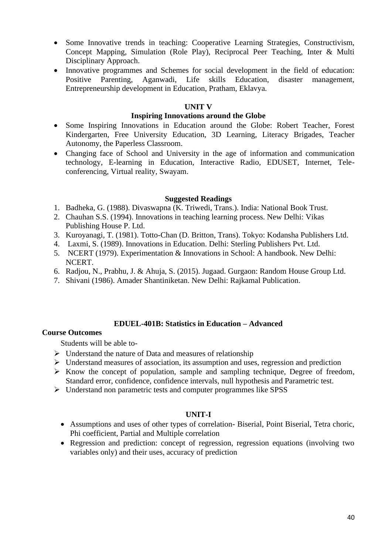- Some Innovative trends in teaching: Cooperative Learning Strategies, Constructivism, Concept Mapping, Simulation (Role Play), Reciprocal Peer Teaching, Inter & Multi Disciplinary Approach.
- Innovative programmes and Schemes for social development in the field of education: Positive Parenting, Aganwadi, Life skills Education, disaster management, Entrepreneurship development in Education, Pratham, Eklavya.

## **UNIT V**

#### **Inspiring Innovations around the Globe**

- Some Inspiring Innovations in Education around the Globe: Robert Teacher, Forest Kindergarten, Free University Education, 3D Learning, Literacy Brigades, Teacher Autonomy, the Paperless Classroom.
- Changing face of School and University in the age of information and communication technology, E-learning in Education, Interactive Radio, EDUSET, Internet, Teleconferencing, Virtual reality, Swayam.

#### **Suggested Readings**

- 1. Badheka, G. (1988). Divaswapna (K. Triwedi, Trans.). India: National Book Trust.
- 2. Chauhan S.S. (1994). Innovations in teaching learning process. New Delhi: Vikas Publishing House P. Ltd.
- 3. Kuroyanagi, T. (1981). Totto-Chan (D. Britton, Trans). Tokyo: Kodansha Publishers Ltd.
- 4. Laxmi, S. (1989). Innovations in Education. Delhi: Sterling Publishers Pvt. Ltd.
- 5. NCERT (1979). Experimentation & Innovations in School: A handbook. New Delhi: NCERT.
- 6. Radjou, N., Prabhu, J. & Ahuja, S. (2015). Jugaad. Gurgaon: Random House Group Ltd.
- 7. Shivani (1986). Amader Shantiniketan. New Delhi: Rajkamal Publication.

## **EDUEL-401B: Statistics in Education – Advanced**

#### **Course Outcomes**

Students will be able to-

- $\triangleright$  Understand the nature of Data and measures of relationship
- ➢ Understand measures of association, its assumption and uses, regression and prediction
- $\triangleright$  Know the concept of population, sample and sampling technique, Degree of freedom, Standard error, confidence, confidence intervals, null hypothesis and Parametric test.
- ➢ Understand non parametric tests and computer programmes like SPSS

### **UNIT-I**

- Assumptions and uses of other types of correlation- Biserial, Point Biserial, Tetra choric, Phi coefficient, Partial and Multiple correlation
- Regression and prediction: concept of regression, regression equations (involving two variables only) and their uses, accuracy of prediction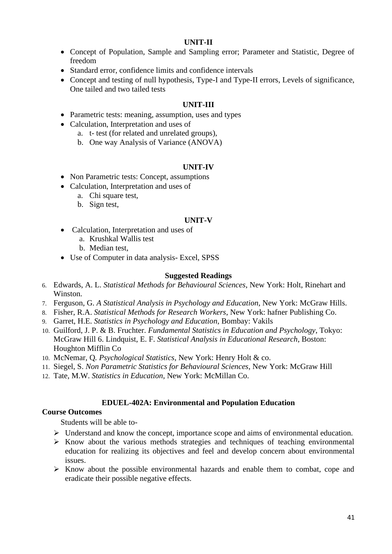### **UNIT-II**

- Concept of Population, Sample and Sampling error; Parameter and Statistic, Degree of freedom
- Standard error, confidence limits and confidence intervals
- Concept and testing of null hypothesis, Type-I and Type-II errors, Levels of significance, One tailed and two tailed tests

### **UNIT-III**

- Parametric tests: meaning, assumption, uses and types
- Calculation, Interpretation and uses of
	- a. t- test (for related and unrelated groups),
	- b. One way Analysis of Variance (ANOVA)

#### **UNIT-IV**

- Non Parametric tests: Concept, assumptions
- Calculation, Interpretation and uses of
	- a. Chi square test,
	- b. Sign test,

#### **UNIT-V**

- Calculation, Interpretation and uses of
	- a. Krushkal Wallis test
	- b. Median test,
- Use of Computer in data analysis- Excel, SPSS

#### **Suggested Readings**

- 6. Edwards, A. L. *Statistical Methods for Behavioural Sciences*, New York: Holt, Rinehart and Winston.
- 7. Ferguson, G. *A Statistical Analysis in Psychology and Education*, New York: McGraw Hills.
- 8. Fisher, R.A. *Statistical Methods for Research Workers*, New York: hafner Publishing Co.
- 9. Garret, H.E. *Statistics in Psychology and Education*, Bombay: Vakils
- 10. Guilford, J. P. & B. Fruchter. *Fundamental Statistics in Education and Psychology*, Tokyo: McGraw Hill 6. Lindquist, E. F. *Statistical Analysis in Educational Research*, Boston: Houghton Mifflin Co
- 10. McNemar, Q*. Psychological Statistics*, New York: Henry Holt & co.
- 11. Siegel, S. *Non Parametric Statistics for Behavioural Sciences*, New York: McGraw Hill
- 12. Tate, M.W. *Statistics in Education*, New York: McMillan Co.

#### **EDUEL-402A: Environmental and Population Education**

#### **Course Outcomes**

Students will be able to-

- ➢ Understand and know the concept, importance scope and aims of environmental education.
- ➢ Know about the various methods strategies and techniques of teaching environmental education for realizing its objectives and feel and develop concern about environmental issues.
- ➢ Know about the possible environmental hazards and enable them to combat, cope and eradicate their possible negative effects.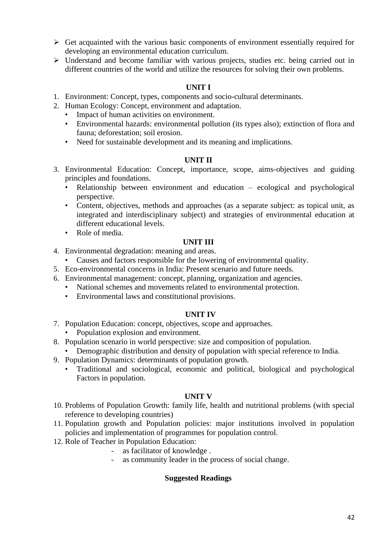- $\triangleright$  Get acquainted with the various basic components of environment essentially required for developing an environmental education curriculum.
- ➢ Understand and become familiar with various projects, studies etc. being carried out in different countries of the world and utilize the resources for solving their own problems.

# **UNIT I**

- 1. Environment: Concept, types, components and socio-cultural determinants.
- 2. Human Ecology: Concept, environment and adaptation.
	- Impact of human activities on environment.
	- Environmental hazards: environmental pollution (its types also); extinction of flora and fauna; deforestation; soil erosion.
	- Need for sustainable development and its meaning and implications.

## **UNIT II**

- 3. Environmental Education: Concept, importance, scope, aims-objectives and guiding principles and foundations.
	- Relationship between environment and education ecological and psychological perspective.
	- Content, objectives, methods and approaches (as a separate subject: as topical unit, as integrated and interdisciplinary subject) and strategies of environmental education at different educational levels.
	- Role of media.

# **UNIT III**

- 4. Environmental degradation: meaning and areas.
	- Causes and factors responsible for the lowering of environmental quality.
- 5. Eco-environmental concerns in India: Present scenario and future needs.
- 6. Environmental management: concept, planning, organization and agencies.
	- National schemes and movements related to environmental protection.
	- Environmental laws and constitutional provisions.

## **UNIT IV**

- 7. Population Education: concept, objectives, scope and approaches.
	- Population explosion and environment.
- 8. Population scenario in world perspective: size and composition of population.
	- Demographic distribution and density of population with special reference to India.
- 9. Population Dynamics: determinants of population growth.
	- Traditional and sociological, economic and political, biological and psychological Factors in population.

## **UNIT V**

- 10. Problems of Population Growth: family life, health and nutritional problems (with special reference to developing countries)
- 11. Population growth and Population policies: major institutions involved in population policies and implementation of programmes for population control.
- 12. Role of Teacher in Population Education:
	- as facilitator of knowledge .
	- as community leader in the process of social change.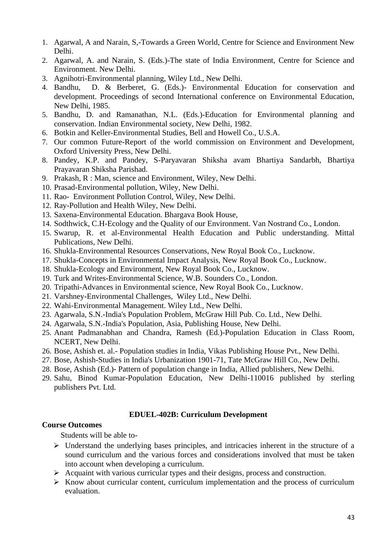- 1. Agarwal, A and Narain, S,-Towards a Green World, Centre for Science and Environment New Delhi.
- 2. Agarwal, A. and Narain, S. (Eds.)-The state of India Environment, Centre for Science and Environment. New Delhi.
- 3. Agnihotri-Environmental planning, Wiley Ltd., New Delhi.
- 4. Bandhu, D. & Berberet, G. (Eds.)- Environmental Education for conservation and development. Proceedings of second International conference on Environmental Education, New Delhi, 1985.
- 5. Bandhu, D. and Ramanathan, N.L. (Eds.)-Education for Environmental planning and conservation. Indian Environmental society, New Delhi, 1982.
- 6. Botkin and Keller-Environmental Studies, Bell and Howell Co., U.S.A.
- 7. Our common Future-Report of the world commission on Environment and Development, Oxford University Press, New Delhi.
- 8. Pandey, K.P. and Pandey, S-Paryavaran Shiksha avam Bhartiya Sandarbh, Bhartiya Prayavaran Shiksha Parishad.
- 9. Prakash, R : Man, science and Environment, Wiley, New Delhi.
- 10. Prasad-Environmental pollution, Wiley, New Delhi.
- 11. Rao- Environment Pollution Control, Wiley, New Delhi.
- 12. Ray-Pollution and Health Wiley, New Delhi.
- 13. Saxena-Environmental Education. Bhargava Book House,
- 14. Sodthwick, C.H-Ecology and the Quality of our Environment. Van Nostrand Co., London.
- 15. Swarup, R. et al-Environmental Health Education and Public understanding. Mittal Publications, New Delhi.
- 16. Shukla-Environmental Resources Conservations, New Royal Book Co., Lucknow.
- 17. Shukla-Concepts in Environmental Impact Analysis, New Royal Book Co., Lucknow.
- 18. Shukla-Ecology and Environment, New Royal Book Co., Lucknow.
- 19. Turk and Writes-Environmental Science, W.B. Sounders Co., London.
- 20. Tripathi-Advances in Environmental science, New Royal Book Co., Lucknow.
- 21. Varshney-Environmental Challenges, Wiley Ltd., New Delhi.
- 22. Wahi-Environmental Management. Wiley Ltd., New Delhi.
- 23. Agarwala, S.N.-India's Population Problem, McGraw Hill Pub. Co. Ltd., New Delhi.
- 24. Agarwala, S.N.-India's Population, Asia, Publishing House, New Delhi.
- 25. Anant Padmanabhan and Chandra, Ramesh (Ed.)-Population Education in Class Room, NCERT, New Delhi.
- 26. Bose, Ashish et. al.- Population studies in India, Vikas Publishing House Pvt., New Delhi.
- 27. Bose, Ashish-Studies in India's Urbanization 1901-71, Tate McGraw Hill Co., New Delhi.
- 28. Bose, Ashish (Ed.)- Pattern of population change in India, Allied publishers, New Delhi.
- 29. Sahu, Binod Kumar-Population Education, New Delhi-110016 published by sterling publishers Pvt. Ltd.

## **EDUEL-402B: Curriculum Development**

### **Course Outcomes**

Students will be able to-

- ➢ Understand the underlying bases principles, and intricacies inherent in the structure of a sound curriculum and the various forces and considerations involved that must be taken into account when developing a curriculum.
- ➢ Acquaint with various curricular types and their designs, process and construction.
- $\triangleright$  Know about curricular content, curriculum implementation and the process of curriculum evaluation.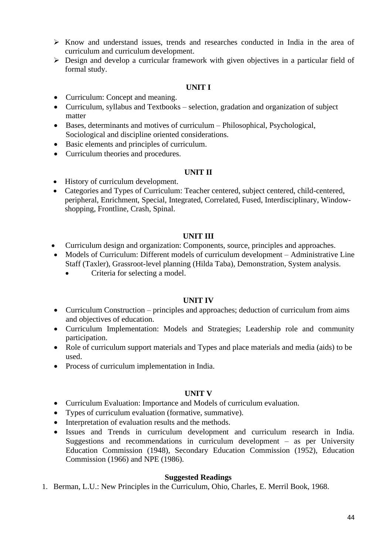- ➢ Know and understand issues, trends and researches conducted in India in the area of curriculum and curriculum development.
- ➢ Design and develop a curricular framework with given objectives in a particular field of formal study.

## **UNIT I**

- Curriculum: Concept and meaning.
- Curriculum, syllabus and Textbooks selection, gradation and organization of subject matter
- Bases, determinants and motives of curriculum Philosophical, Psychological, Sociological and discipline oriented considerations.
- Basic elements and principles of curriculum.
- Curriculum theories and procedures.

## **UNIT II**

- History of curriculum development.
- Categories and Types of Curriculum: Teacher centered, subject centered, child-centered, peripheral, Enrichment, Special, Integrated, Correlated, Fused, Interdisciplinary, Windowshopping, Frontline, Crash, Spinal.

# **UNIT III**

- Curriculum design and organization: Components, source, principles and approaches.
- Models of Curriculum: Different models of curriculum development Administrative Line Staff (Taxler), Grassroot-level planning (Hilda Taba), Demonstration, System analysis.
	- Criteria for selecting a model.

# **UNIT IV**

- Curriculum Construction principles and approaches; deduction of curriculum from aims and objectives of education.
- Curriculum Implementation: Models and Strategies; Leadership role and community participation.
- Role of curriculum support materials and Types and place materials and media (aids) to be used.
- Process of curriculum implementation in India.

# **UNIT V**

- Curriculum Evaluation: Importance and Models of curriculum evaluation.
- Types of curriculum evaluation (formative, summative).
- Interpretation of evaluation results and the methods.
- Issues and Trends in curriculum development and curriculum research in India. Suggestions and recommendations in curriculum development – as per University Education Commission (1948), Secondary Education Commission (1952), Education Commission (1966) and NPE (1986).

## **Suggested Readings**

1. Berman, L.U.: New Principles in the Curriculum, Ohio, Charles, E. Merril Book, 1968.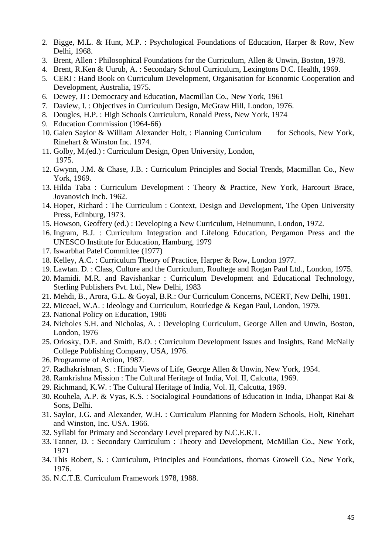- 2. Bigge, M.L. & Hunt, M.P. : Psychological Foundations of Education, Harper & Row, New Delhi, 1968.
- 3. Brent, Allen : Philosophical Foundations for the Curriculum, Allen & Unwin, Boston, 1978.
- 4. Brent, R.Ken & Uurub, A. : Secondary School Curriculum, Lexingtons D.C. Health, 1969.
- 5. CERI : Hand Book on Curriculum Development, Organisation for Economic Cooperation and Development, Australia, 1975.
- 6. Dewey, JI : Democracy and Education, Macmillan Co., New York, 1961
- 7. Daview, I. : Objectives in Curriculum Design, McGraw Hill, London, 1976.
- 8. Dougles, H.P. : High Schools Curriculum, Ronald Press, New York, 1974
- 9. Education Commission (1964-66)
- 10. Galen Saylor & William Alexander Holt, : Planning Curriculum for Schools, New York, Rinehart & Winston Inc. 1974.
- 11. Golby, M.(ed.) : Curriculum Design, Open University, London, 1975.
- 12. Gwynn, J.M. & Chase, J.B. : Curriculum Principles and Social Trends, Macmillan Co., New York, 1969.
- 13. Hilda Taba : Curriculum Development : Theory & Practice, New York, Harcourt Brace, Jovanovich Incb. 1962.
- 14. Hoper, Richard : The Curriculum : Context, Design and Development, The Open University Press, Edinburg, 1973.
- 15. Howson, Geoffery (ed.) : Developing a New Curriculum, Heinumunn, London, 1972.
- 16. Ingram, B.J. : Curriculum Integration and Lifelong Education, Pergamon Press and the UNESCO Institute for Education, Hamburg, 1979
- 17. Iswarbhat Patel Committee (1977)
- 18. Kelley, A.C. : Curriculum Theory of Practice, Harper & Row, London 1977.
- 19. Lawtan. D. : Class, Culture and the Curriculum, Roultege and Rogan Paul Ltd., London, 1975.
- 20. Mamidi. M.R. and Ravishankar : Curriculum Development and Educational Technology, Sterling Publishers Pvt. Ltd., New Delhi, 1983
- 21. Mehdi, B., Arora, G.L. & Goyal, B.R.: Our Curriculum Concerns, NCERT, New Delhi, 1981.
- 22. Miceael, W.A. : Ideology and Curriculum, Rourledge & Kegan Paul, London, 1979.
- 23. National Policy on Education, 1986
- 24. Nicholes S.H. and Nicholas, A. : Developing Curriculum, George Allen and Unwin, Boston, London, 1976
- 25. Oriosky, D.E. and Smith, B.O. : Curriculum Development Issues and Insights, Rand McNally College Publishing Company, USA, 1976.
- 26. Programme of Action, 1987.
- 27. Radhakrishnan, S. : Hindu Views of Life, George Allen & Unwin, New York, 1954.
- 28. Ramkrishna Mission : The Cultural Heritage of India, Vol. II, Calcutta, 1969.
- 29. Richmand, K.W. : The Cultural Heritage of India, Vol. II, Calcutta, 1969.
- 30. Rouhela, A.P. & Vyas, K.S. : Socialogical Foundations of Education in India, Dhanpat Rai & Sons, Delhi.
- 31. Saylor, J.G. and Alexander, W.H. : Curriculum Planning for Modern Schools, Holt, Rinehart and Winston, Inc. USA. 1966.
- 32. Syllabi for Primary and Secondary Level prepared by N.C.E.R.T.
- 33. Tanner, D. : Secondary Curriculum : Theory and Development, McMillan Co., New York, 1971
- 34. This Robert, S. : Curriculum, Principles and Foundations, thomas Growell Co., New York, 1976.
- 35. N.C.T.E. Curriculum Framework 1978, 1988.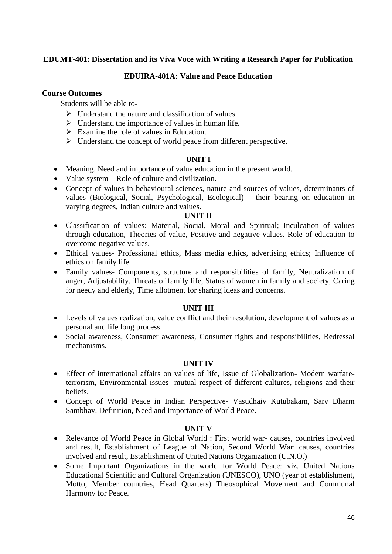# **EDUMT-401: Dissertation and its Viva Voce with Writing a Research Paper for Publication**

## **EDUIRA-401A: Value and Peace Education**

### **Course Outcomes**

Students will be able to-

- $\triangleright$  Understand the nature and classification of values.
- $\triangleright$  Understand the importance of values in human life.
- $\triangleright$  Examine the role of values in Education.
- ➢ Understand the concept of world peace from different perspective.

### **UNIT I**

- Meaning, Need and importance of value education in the present world.
- Value system Role of culture and civilization.
- Concept of values in behavioural sciences, nature and sources of values, determinants of values (Biological, Social, Psychological, Ecological) – their bearing on education in varying degrees, Indian culture and values.

#### **UNIT II**

- Classification of values: Material, Social, Moral and Spiritual; Inculcation of values through education, Theories of value, Positive and negative values. Role of education to overcome negative values.
- Ethical values- Professional ethics, Mass media ethics, advertising ethics; Influence of ethics on family life.
- Family values- Components, structure and responsibilities of family, Neutralization of anger, Adjustability, Threats of family life, Status of women in family and society, Caring for needy and elderly, Time allotment for sharing ideas and concerns.

## **UNIT III**

- Levels of values realization, value conflict and their resolution, development of values as a personal and life long process.
- Social awareness, Consumer awareness, Consumer rights and responsibilities, Redressal mechanisms.

#### **UNIT IV**

- Effect of international affairs on values of life, Issue of Globalization- Modern warfareterrorism, Environmental issues- mutual respect of different cultures, religions and their beliefs.
- Concept of World Peace in Indian Perspective- Vasudhaiv Kutubakam, Sarv Dharm Sambhav. Definition, Need and Importance of World Peace.

#### **UNIT V**

- Relevance of World Peace in Global World : First world war- causes, countries involved and result, Establishment of League of Nation, Second World War: causes, countries involved and result, Establishment of United Nations Organization (U.N.O.)
- Some Important Organizations in the world for World Peace: viz. United Nations Educational Scientific and Cultural Organization (UNESCO), UNO (year of establishment, Motto, Member countries, Head Quarters) Theosophical Movement and Communal Harmony for Peace.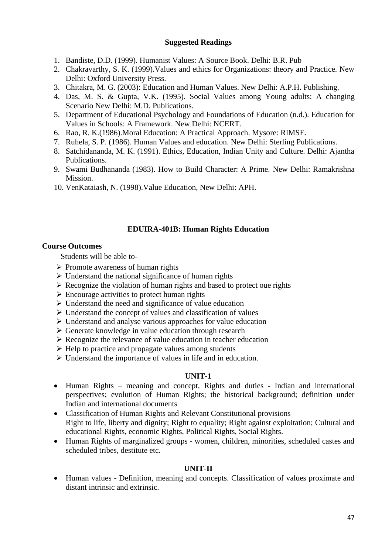### **Suggested Readings**

- 1. Bandiste, D.D. (1999). Humanist Values: A Source Book. Delhi: B.R. Pub
- 2. Chakravarthy, S. K. (1999).Values and ethics for Organizations: theory and Practice. New Delhi: Oxford University Press.
- 3. Chitakra, M. G. (2003): Education and Human Values. New Delhi: A.P.H. Publishing.
- 4. Das, M. S. & Gupta, V.K. (1995). Social Values among Young adults: A changing Scenario New Delhi: M.D. Publications.
- 5. Department of Educational Psychology and Foundations of Education (n.d.). Education for Values in Schools: A Framework. New Delhi: NCERT.
- 6. Rao, R. K.(1986).Moral Education: A Practical Approach. Mysore: RIMSE.
- 7. Ruhela, S. P. (1986). Human Values and education. New Delhi: Sterling Publications.
- 8. Satchidananda, M. K. (1991). Ethics, Education, Indian Unity and Culture. Delhi: Ajantha Publications.
- 9. Swami Budhananda (1983). How to Build Character: A Prime. New Delhi: Ramakrishna Mission.
- 10. VenKataiash, N. (1998).Value Education, New Delhi: APH.

## **EDUIRA-401B: Human Rights Education**

### **Course Outcomes**

Students will be able to-

- ➢ Promote awareness of human rights
- ➢ Understand the national significance of human rights
- $\triangleright$  Recognize the violation of human rights and based to protect oue rights
- $\triangleright$  Encourage activities to protect human rights
- ➢ Understand the need and significance of value education
- ➢ Understand the concept of values and classification of values
- ➢ Understand and analyse various approaches for value education
- ➢ Generate knowledge in value education through research
- ➢ Recognize the relevance of value education in teacher education
- ➢ Help to practice and propagate values among students
- ➢ Understand the importance of values in life and in education.

## **UNIT-1**

- Human Rights meaning and concept, Rights and duties Indian and international perspectives; evolution of Human Rights; the historical background; definition under Indian and international documents
- Classification of Human Rights and Relevant Constitutional provisions Right to life, liberty and dignity; Right to equality; Right against exploitation; Cultural and educational Rights, economic Rights, Political Rights, Social Rights.
- Human Rights of marginalized groups women, children, minorities, scheduled castes and scheduled tribes, destitute etc.

## **UNIT-II**

• Human values - Definition, meaning and concepts. Classification of values proximate and distant intrinsic and extrinsic.